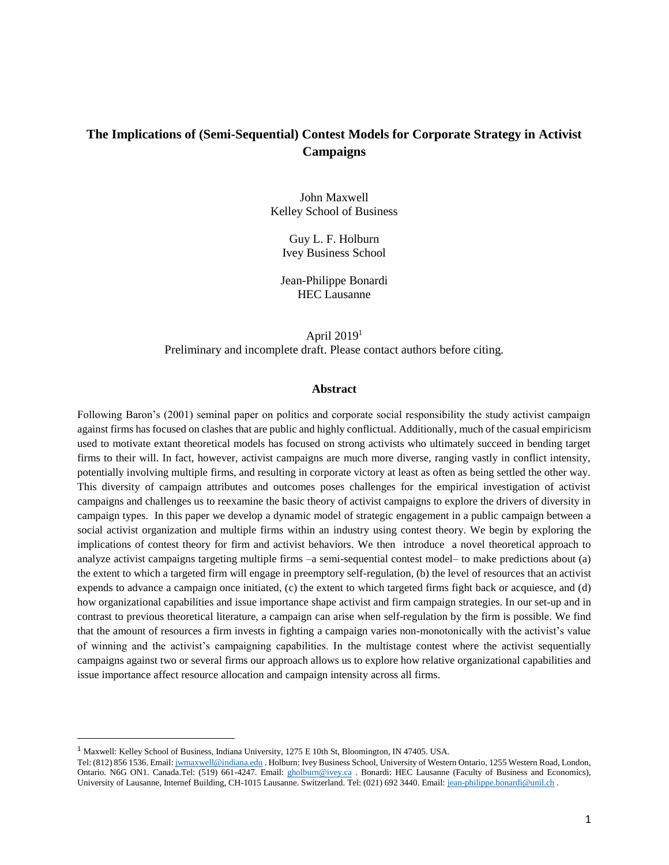# **The Implications of (Semi-Sequential) Contest Models for Corporate Strategy in Activist Campaigns**

John Maxwell Kelley School of Business

> Guy L. F. Holburn Ivey Business School

Jean-Philippe Bonardi HEC Lausanne

April  $2019<sup>1</sup>$ Preliminary and incomplete draft. Please contact authors before citing.

#### **Abstract**

Following Baron's (2001) seminal paper on politics and corporate social responsibility the study activist campaign against firms has focused on clashes that are public and highly conflictual. Additionally, much of the casual empiricism used to motivate extant theoretical models has focused on strong activists who ultimately succeed in bending target firms to their will. In fact, however, activist campaigns are much more diverse, ranging vastly in conflict intensity, potentially involving multiple firms, and resulting in corporate victory at least as often as being settled the other way. This diversity of campaign attributes and outcomes poses challenges for the empirical investigation of activist campaigns and challenges us to reexamine the basic theory of activist campaigns to explore the drivers of diversity in campaign types. In this paper we develop a dynamic model of strategic engagement in a public campaign between a social activist organization and multiple firms within an industry using contest theory. We begin by exploring the implications of contest theory for firm and activist behaviors. We then introduce a novel theoretical approach to analyze activist campaigns targeting multiple firms –a semi-sequential contest model– to make predictions about (a) the extent to which a targeted firm will engage in preemptory self-regulation, (b) the level of resources that an activist expends to advance a campaign once initiated, (c) the extent to which targeted firms fight back or acquiesce, and (d) how organizational capabilities and issue importance shape activist and firm campaign strategies. In our set-up and in contrast to previous theoretical literature, a campaign can arise when self-regulation by the firm is possible. We find that the amount of resources a firm invests in fighting a campaign varies non-monotonically with the activist's value of winning and the activist's campaigning capabilities. In the multistage contest where the activist sequentially campaigns against two or several firms our approach allows us to explore how relative organizational capabilities and issue importance affect resource allocation and campaign intensity across all firms.

 $\overline{a}$ 

<sup>1</sup> Maxwell: Kelley School of Business, Indiana University, 1275 E 10th St, Bloomington, IN 47405. USA.

Tel: (812) 856 1536. Email[: jwmaxwell@indiana.edu](mailto:jwmaxwell@indiana.edu) . Holburn: Ivey Business School, University of Western Ontario, 1255 Western Road, London, Ontario. N6G ON1. Canada.Tel: (519) 661-4247. Email: [gholburn@ivey.ca](mailto:gholburn@ivey.ca) . Bonardi: HEC Lausanne (Faculty of Business and Economics), University of Lausanne, Internef Building, CH-1015 Lausanne. Switzerland. Tel: (021) 692 3440. Email[: jean-philippe.bonardi@unil.ch](mailto:jean-philippe.bonardi@unil.ch) .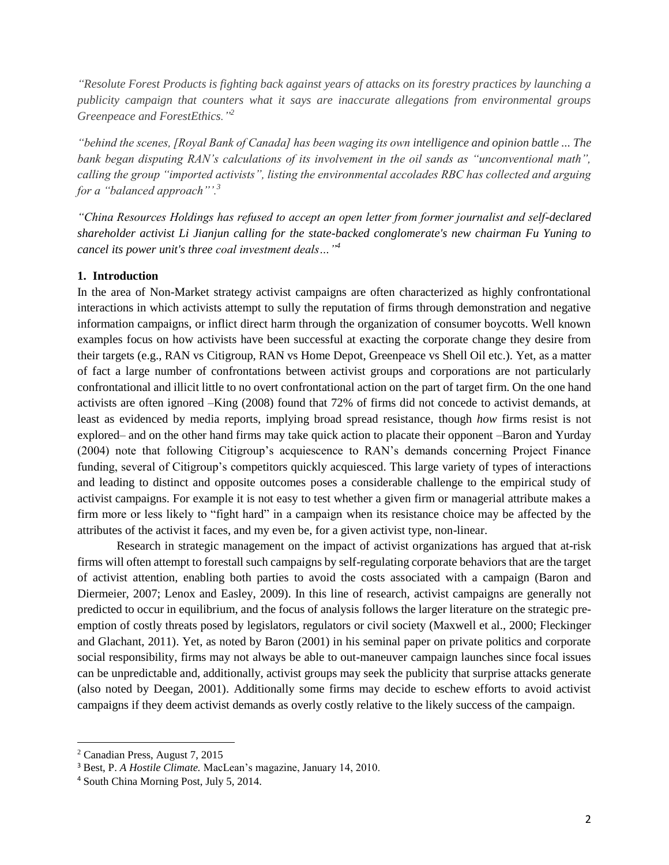*"Resolute Forest Products is fighting back against years of attacks on its forestry practices by launching a publicity campaign that counters what it says are inaccurate allegations from environmental groups Greenpeace and ForestEthics."<sup>2</sup>*

*"behind the scenes, [Royal Bank of Canada] has been waging its own intelligence and opinion battle ... The bank began disputing RAN's calculations of its involvement in the oil sands as "unconventional math", calling the group "imported activists", listing the environmental accolades RBC has collected and arguing for a "balanced approach"'.<sup>3</sup>*

*"China Resources Holdings has refused to accept an open letter from former journalist and self-declared shareholder activist Li Jianjun calling for the state-backed conglomerate's new chairman Fu Yuning to cancel its power unit's three coal investment deals…" 4*

### **1. Introduction**

In the area of Non-Market strategy activist campaigns are often characterized as highly confrontational interactions in which activists attempt to sully the reputation of firms through demonstration and negative information campaigns, or inflict direct harm through the organization of consumer boycotts. Well known examples focus on how activists have been successful at exacting the corporate change they desire from their targets (e.g., RAN vs Citigroup, RAN vs Home Depot, Greenpeace vs Shell Oil etc.). Yet, as a matter of fact a large number of confrontations between activist groups and corporations are not particularly confrontational and illicit little to no overt confrontational action on the part of target firm. On the one hand activists are often ignored –King (2008) found that 72% of firms did not concede to activist demands, at least as evidenced by media reports, implying broad spread resistance, though *how* firms resist is not explored– and on the other hand firms may take quick action to placate their opponent –Baron and Yurday (2004) note that following Citigroup's acquiescence to RAN's demands concerning Project Finance funding, several of Citigroup's competitors quickly acquiesced. This large variety of types of interactions and leading to distinct and opposite outcomes poses a considerable challenge to the empirical study of activist campaigns. For example it is not easy to test whether a given firm or managerial attribute makes a firm more or less likely to "fight hard" in a campaign when its resistance choice may be affected by the attributes of the activist it faces, and my even be, for a given activist type, non-linear.

Research in strategic management on the impact of activist organizations has argued that at-risk firms will often attempt to forestall such campaigns by self-regulating corporate behaviors that are the target of activist attention, enabling both parties to avoid the costs associated with a campaign (Baron and Diermeier, 2007; Lenox and Easley, 2009). In this line of research, activist campaigns are generally not predicted to occur in equilibrium, and the focus of analysis follows the larger literature on the strategic preemption of costly threats posed by legislators, regulators or civil society (Maxwell et al., 2000; Fleckinger and Glachant, 2011). Yet, as noted by Baron (2001) in his seminal paper on private politics and corporate social responsibility, firms may not always be able to out-maneuver campaign launches since focal issues can be unpredictable and, additionally, activist groups may seek the publicity that surprise attacks generate (also noted by Deegan, 2001). Additionally some firms may decide to eschew efforts to avoid activist campaigns if they deem activist demands as overly costly relative to the likely success of the campaign.

 $\overline{a}$ 

<sup>2</sup> Canadian Press, August 7, 2015

<sup>3</sup> Best, P. *A Hostile Climate.* MacLean's magazine, January 14, 2010.

<sup>4</sup> South China Morning Post, July 5, 2014.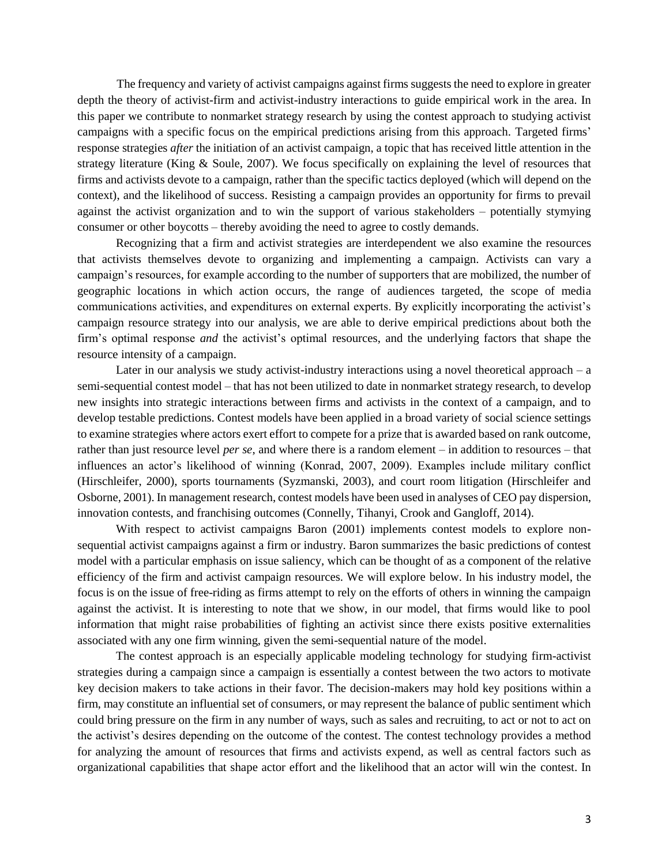The frequency and variety of activist campaigns against firms suggests the need to explore in greater depth the theory of activist-firm and activist-industry interactions to guide empirical work in the area. In this paper we contribute to nonmarket strategy research by using the contest approach to studying activist campaigns with a specific focus on the empirical predictions arising from this approach. Targeted firms' response strategies *after* the initiation of an activist campaign, a topic that has received little attention in the strategy literature (King & Soule, 2007). We focus specifically on explaining the level of resources that firms and activists devote to a campaign, rather than the specific tactics deployed (which will depend on the context), and the likelihood of success. Resisting a campaign provides an opportunity for firms to prevail against the activist organization and to win the support of various stakeholders – potentially stymying consumer or other boycotts – thereby avoiding the need to agree to costly demands.

Recognizing that a firm and activist strategies are interdependent we also examine the resources that activists themselves devote to organizing and implementing a campaign. Activists can vary a campaign's resources, for example according to the number of supporters that are mobilized, the number of geographic locations in which action occurs, the range of audiences targeted, the scope of media communications activities, and expenditures on external experts. By explicitly incorporating the activist's campaign resource strategy into our analysis, we are able to derive empirical predictions about both the firm's optimal response *and* the activist's optimal resources, and the underlying factors that shape the resource intensity of a campaign.

Later in our analysis we study activist-industry interactions using a novel theoretical approach  $-$  a semi-sequential contest model – that has not been utilized to date in nonmarket strategy research, to develop new insights into strategic interactions between firms and activists in the context of a campaign, and to develop testable predictions. Contest models have been applied in a broad variety of social science settings to examine strategies where actors exert effort to compete for a prize that is awarded based on rank outcome, rather than just resource level *per se*, and where there is a random element – in addition to resources – that influences an actor's likelihood of winning (Konrad, 2007, 2009). Examples include military conflict (Hirschleifer, 2000), sports tournaments (Syzmanski, 2003), and court room litigation (Hirschleifer and Osborne, 2001). In management research, contest models have been used in analyses of CEO pay dispersion, innovation contests, and franchising outcomes (Connelly, Tihanyi, Crook and Gangloff, 2014).

With respect to activist campaigns Baron (2001) implements contest models to explore nonsequential activist campaigns against a firm or industry. Baron summarizes the basic predictions of contest model with a particular emphasis on issue saliency, which can be thought of as a component of the relative efficiency of the firm and activist campaign resources. We will explore below. In his industry model, the focus is on the issue of free-riding as firms attempt to rely on the efforts of others in winning the campaign against the activist. It is interesting to note that we show, in our model, that firms would like to pool information that might raise probabilities of fighting an activist since there exists positive externalities associated with any one firm winning, given the semi-sequential nature of the model.

The contest approach is an especially applicable modeling technology for studying firm-activist strategies during a campaign since a campaign is essentially a contest between the two actors to motivate key decision makers to take actions in their favor. The decision-makers may hold key positions within a firm, may constitute an influential set of consumers, or may represent the balance of public sentiment which could bring pressure on the firm in any number of ways, such as sales and recruiting, to act or not to act on the activist's desires depending on the outcome of the contest. The contest technology provides a method for analyzing the amount of resources that firms and activists expend, as well as central factors such as organizational capabilities that shape actor effort and the likelihood that an actor will win the contest. In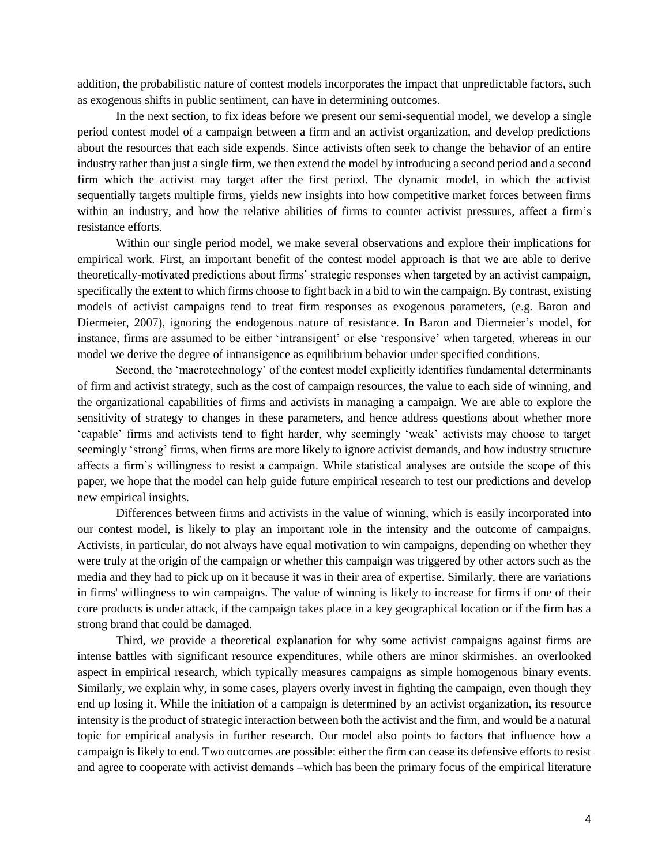addition, the probabilistic nature of contest models incorporates the impact that unpredictable factors, such as exogenous shifts in public sentiment, can have in determining outcomes.

In the next section, to fix ideas before we present our semi-sequential model, we develop a single period contest model of a campaign between a firm and an activist organization, and develop predictions about the resources that each side expends. Since activists often seek to change the behavior of an entire industry rather than just a single firm, we then extend the model by introducing a second period and a second firm which the activist may target after the first period. The dynamic model, in which the activist sequentially targets multiple firms, yields new insights into how competitive market forces between firms within an industry, and how the relative abilities of firms to counter activist pressures, affect a firm's resistance efforts.

Within our single period model, we make several observations and explore their implications for empirical work. First, an important benefit of the contest model approach is that we are able to derive theoretically-motivated predictions about firms' strategic responses when targeted by an activist campaign, specifically the extent to which firms choose to fight back in a bid to win the campaign. By contrast, existing models of activist campaigns tend to treat firm responses as exogenous parameters, (e.g. Baron and Diermeier, 2007), ignoring the endogenous nature of resistance. In Baron and Diermeier's model, for instance, firms are assumed to be either 'intransigent' or else 'responsive' when targeted, whereas in our model we derive the degree of intransigence as equilibrium behavior under specified conditions.

Second, the 'macrotechnology' of the contest model explicitly identifies fundamental determinants of firm and activist strategy, such as the cost of campaign resources, the value to each side of winning, and the organizational capabilities of firms and activists in managing a campaign. We are able to explore the sensitivity of strategy to changes in these parameters, and hence address questions about whether more 'capable' firms and activists tend to fight harder, why seemingly 'weak' activists may choose to target seemingly 'strong' firms, when firms are more likely to ignore activist demands, and how industry structure affects a firm's willingness to resist a campaign. While statistical analyses are outside the scope of this paper, we hope that the model can help guide future empirical research to test our predictions and develop new empirical insights.

Differences between firms and activists in the value of winning, which is easily incorporated into our contest model, is likely to play an important role in the intensity and the outcome of campaigns. Activists, in particular, do not always have equal motivation to win campaigns, depending on whether they were truly at the origin of the campaign or whether this campaign was triggered by other actors such as the media and they had to pick up on it because it was in their area of expertise. Similarly, there are variations in firms' willingness to win campaigns. The value of winning is likely to increase for firms if one of their core products is under attack, if the campaign takes place in a key geographical location or if the firm has a strong brand that could be damaged.

Third, we provide a theoretical explanation for why some activist campaigns against firms are intense battles with significant resource expenditures, while others are minor skirmishes, an overlooked aspect in empirical research, which typically measures campaigns as simple homogenous binary events. Similarly, we explain why, in some cases, players overly invest in fighting the campaign, even though they end up losing it. While the initiation of a campaign is determined by an activist organization, its resource intensity is the product of strategic interaction between both the activist and the firm, and would be a natural topic for empirical analysis in further research. Our model also points to factors that influence how a campaign is likely to end. Two outcomes are possible: either the firm can cease its defensive efforts to resist and agree to cooperate with activist demands –which has been the primary focus of the empirical literature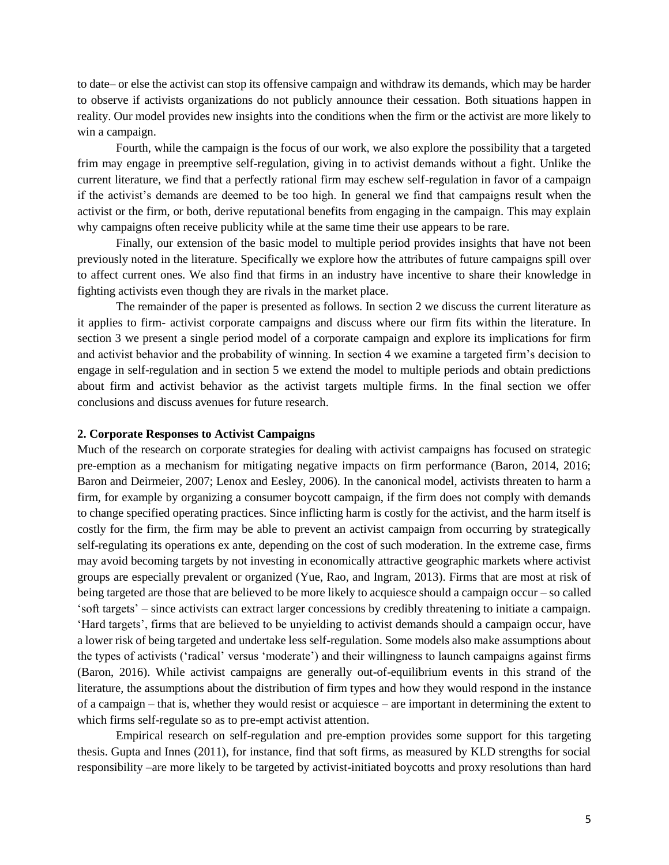to date– or else the activist can stop its offensive campaign and withdraw its demands, which may be harder to observe if activists organizations do not publicly announce their cessation. Both situations happen in reality. Our model provides new insights into the conditions when the firm or the activist are more likely to win a campaign.

Fourth, while the campaign is the focus of our work, we also explore the possibility that a targeted frim may engage in preemptive self-regulation, giving in to activist demands without a fight. Unlike the current literature, we find that a perfectly rational firm may eschew self-regulation in favor of a campaign if the activist's demands are deemed to be too high. In general we find that campaigns result when the activist or the firm, or both, derive reputational benefits from engaging in the campaign. This may explain why campaigns often receive publicity while at the same time their use appears to be rare.

Finally, our extension of the basic model to multiple period provides insights that have not been previously noted in the literature. Specifically we explore how the attributes of future campaigns spill over to affect current ones. We also find that firms in an industry have incentive to share their knowledge in fighting activists even though they are rivals in the market place.

The remainder of the paper is presented as follows. In section 2 we discuss the current literature as it applies to firm- activist corporate campaigns and discuss where our firm fits within the literature. In section 3 we present a single period model of a corporate campaign and explore its implications for firm and activist behavior and the probability of winning. In section 4 we examine a targeted firm's decision to engage in self-regulation and in section 5 we extend the model to multiple periods and obtain predictions about firm and activist behavior as the activist targets multiple firms. In the final section we offer conclusions and discuss avenues for future research.

### **2. Corporate Responses to Activist Campaigns**

Much of the research on corporate strategies for dealing with activist campaigns has focused on strategic pre-emption as a mechanism for mitigating negative impacts on firm performance (Baron, 2014, 2016; Baron and Deirmeier, 2007; Lenox and Eesley, 2006). In the canonical model, activists threaten to harm a firm, for example by organizing a consumer boycott campaign, if the firm does not comply with demands to change specified operating practices. Since inflicting harm is costly for the activist, and the harm itself is costly for the firm, the firm may be able to prevent an activist campaign from occurring by strategically self-regulating its operations ex ante, depending on the cost of such moderation. In the extreme case, firms may avoid becoming targets by not investing in economically attractive geographic markets where activist groups are especially prevalent or organized (Yue, Rao, and Ingram, 2013). Firms that are most at risk of being targeted are those that are believed to be more likely to acquiesce should a campaign occur – so called 'soft targets' – since activists can extract larger concessions by credibly threatening to initiate a campaign. 'Hard targets', firms that are believed to be unyielding to activist demands should a campaign occur, have a lower risk of being targeted and undertake less self-regulation. Some models also make assumptions about the types of activists ('radical' versus 'moderate') and their willingness to launch campaigns against firms (Baron, 2016). While activist campaigns are generally out-of-equilibrium events in this strand of the literature, the assumptions about the distribution of firm types and how they would respond in the instance of a campaign – that is, whether they would resist or acquiesce – are important in determining the extent to which firms self-regulate so as to pre-empt activist attention.

Empirical research on self-regulation and pre-emption provides some support for this targeting thesis. Gupta and Innes (2011), for instance, find that soft firms, as measured by KLD strengths for social responsibility –are more likely to be targeted by activist-initiated boycotts and proxy resolutions than hard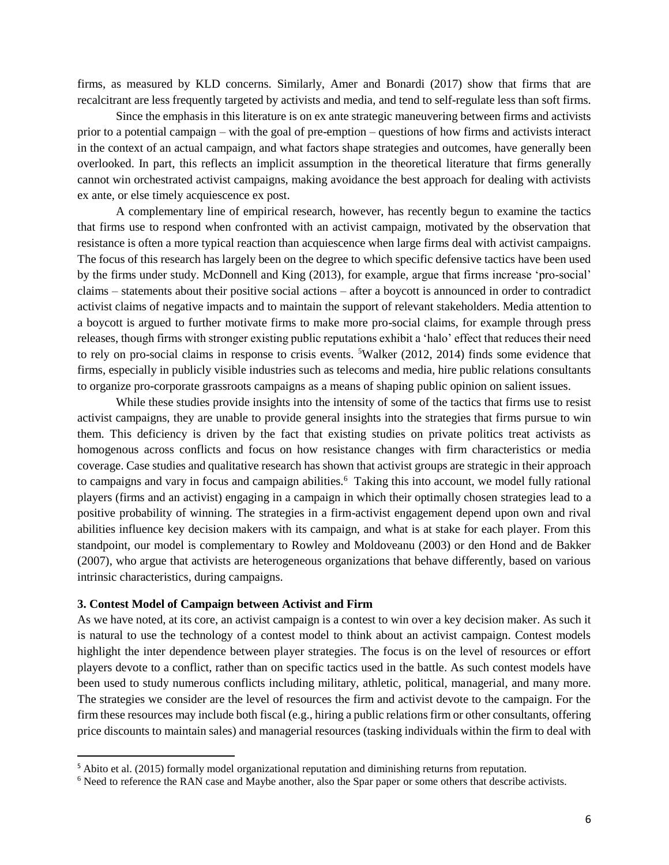firms, as measured by KLD concerns. Similarly, Amer and Bonardi (2017) show that firms that are recalcitrant are less frequently targeted by activists and media, and tend to self-regulate less than soft firms.

Since the emphasis in this literature is on ex ante strategic maneuvering between firms and activists prior to a potential campaign – with the goal of pre-emption – questions of how firms and activists interact in the context of an actual campaign, and what factors shape strategies and outcomes, have generally been overlooked. In part, this reflects an implicit assumption in the theoretical literature that firms generally cannot win orchestrated activist campaigns, making avoidance the best approach for dealing with activists ex ante, or else timely acquiescence ex post.

A complementary line of empirical research, however, has recently begun to examine the tactics that firms use to respond when confronted with an activist campaign, motivated by the observation that resistance is often a more typical reaction than acquiescence when large firms deal with activist campaigns. The focus of this research has largely been on the degree to which specific defensive tactics have been used by the firms under study. McDonnell and King (2013), for example, argue that firms increase 'pro-social' claims – statements about their positive social actions – after a boycott is announced in order to contradict activist claims of negative impacts and to maintain the support of relevant stakeholders. Media attention to a boycott is argued to further motivate firms to make more pro-social claims, for example through press releases, though firms with stronger existing public reputations exhibit a 'halo' effect that reduces their need to rely on pro-social claims in response to crisis events. <sup>5</sup>Walker (2012, 2014) finds some evidence that firms, especially in publicly visible industries such as telecoms and media, hire public relations consultants to organize pro-corporate grassroots campaigns as a means of shaping public opinion on salient issues.

While these studies provide insights into the intensity of some of the tactics that firms use to resist activist campaigns, they are unable to provide general insights into the strategies that firms pursue to win them. This deficiency is driven by the fact that existing studies on private politics treat activists as homogenous across conflicts and focus on how resistance changes with firm characteristics or media coverage. Case studies and qualitative research has shown that activist groups are strategic in their approach to campaigns and vary in focus and campaign abilities.<sup>6</sup> Taking this into account, we model fully rational players (firms and an activist) engaging in a campaign in which their optimally chosen strategies lead to a positive probability of winning. The strategies in a firm-activist engagement depend upon own and rival abilities influence key decision makers with its campaign, and what is at stake for each player. From this standpoint, our model is complementary to Rowley and Moldoveanu (2003) or den Hond and de Bakker (2007), who argue that activists are heterogeneous organizations that behave differently, based on various intrinsic characteristics, during campaigns.

#### **3. Contest Model of Campaign between Activist and Firm**

 $\overline{a}$ 

As we have noted, at its core, an activist campaign is a contest to win over a key decision maker. As such it is natural to use the technology of a contest model to think about an activist campaign. Contest models highlight the inter dependence between player strategies. The focus is on the level of resources or effort players devote to a conflict, rather than on specific tactics used in the battle. As such contest models have been used to study numerous conflicts including military, athletic, political, managerial, and many more. The strategies we consider are the level of resources the firm and activist devote to the campaign. For the firm these resources may include both fiscal (e.g., hiring a public relations firm or other consultants, offering price discounts to maintain sales) and managerial resources (tasking individuals within the firm to deal with

<sup>5</sup> Abito et al. (2015) formally model organizational reputation and diminishing returns from reputation.

<sup>6</sup> Need to reference the RAN case and Maybe another, also the Spar paper or some others that describe activists.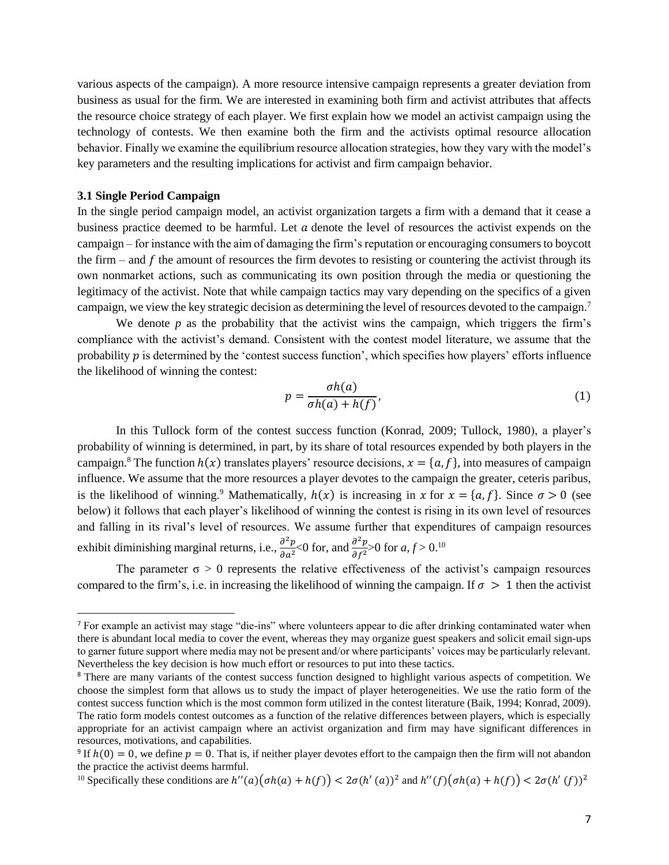various aspects of the campaign). A more resource intensive campaign represents a greater deviation from business as usual for the firm. We are interested in examining both firm and activist attributes that affects the resource choice strategy of each player. We first explain how we model an activist campaign using the technology of contests. We then examine both the firm and the activists optimal resource allocation behavior. Finally we examine the equilibrium resource allocation strategies, how they vary with the model's key parameters and the resulting implications for activist and firm campaign behavior.

#### **3.1 Single Period Campaign**

 $\overline{a}$ 

In the single period campaign model, an activist organization targets a firm with a demand that it cease a business practice deemed to be harmful. Let  $\alpha$  denote the level of resources the activist expends on the campaign – for instance with the aim of damaging the firm's reputation or encouraging consumers to boycott the firm – and  $f$  the amount of resources the firm devotes to resisting or countering the activist through its own nonmarket actions, such as communicating its own position through the media or questioning the legitimacy of the activist. Note that while campaign tactics may vary depending on the specifics of a given campaign, we view the key strategic decision as determining the level of resources devoted to the campaign.<sup>7</sup>

We denote  $p$  as the probability that the activist wins the campaign, which triggers the firm's compliance with the activist's demand. Consistent with the contest model literature, we assume that the probability  $p$  is determined by the 'contest success function', which specifies how players' efforts influence the likelihood of winning the contest:

$$
p = \frac{\sigma h(a)}{\sigma h(a) + h(f)},\tag{1}
$$

In this Tullock form of the contest success function (Konrad, 2009; Tullock, 1980), a player's probability of winning is determined, in part, by its share of total resources expended by both players in the campaign.<sup>8</sup> The function  $h(x)$  translates players' resource decisions,  $x = \{a, f\}$ , into measures of campaign influence. We assume that the more resources a player devotes to the campaign the greater, ceteris paribus, is the likelihood of winning.<sup>9</sup> Mathematically,  $h(x)$  is increasing in  $x$  for  $x = \{a, f\}$ . Since  $\sigma > 0$  (see below) it follows that each player's likelihood of winning the contest is rising in its own level of resources and falling in its rival's level of resources. We assume further that expenditures of campaign resources exhibit diminishing marginal returns, i.e.,  $\frac{\partial^2 p}{\partial x^2}$  $\frac{\partial^2 p}{\partial a^2}$ <0 for, and  $\frac{\partial^2 p}{\partial f^2}$  $\frac{\partial^2 p}{\partial f^2}$ >0 for *a*, *f* > 0.<sup>10</sup>

The parameter  $\sigma > 0$  represents the relative effectiveness of the activist's campaign resources compared to the firm's, i.e. in increasing the likelihood of winning the campaign. If  $\sigma > 1$  then the activist

<sup>7</sup> For example an activist may stage "die-ins" where volunteers appear to die after drinking contaminated water when there is abundant local media to cover the event, whereas they may organize guest speakers and solicit email sign-ups to garner future support where media may not be present and/or where participants' voices may be particularly relevant. Nevertheless the key decision is how much effort or resources to put into these tactics.

<sup>&</sup>lt;sup>8</sup> There are many variants of the contest success function designed to highlight various aspects of competition. We choose the simplest form that allows us to study the impact of player heterogeneities. We use the ratio form of the contest success function which is the most common form utilized in the contest literature (Baik, 1994; Konrad, 2009). The ratio form models contest outcomes as a function of the relative differences between players, which is especially appropriate for an activist campaign where an activist organization and firm may have significant differences in resources, motivations, and capabilities.

<sup>&</sup>lt;sup>9</sup> If  $h(0) = 0$ , we define  $p = 0$ . That is, if neither player devotes effort to the campaign then the firm will not abandon the practice the activist deems harmful.

<sup>&</sup>lt;sup>10</sup> Specifically these conditions are  $h''(a)(\sigma h(a) + h(f)) < 2\sigma(h'(a))^2$  and  $h''(f)(\sigma h(a) + h(f)) < 2\sigma(h'(f))^2$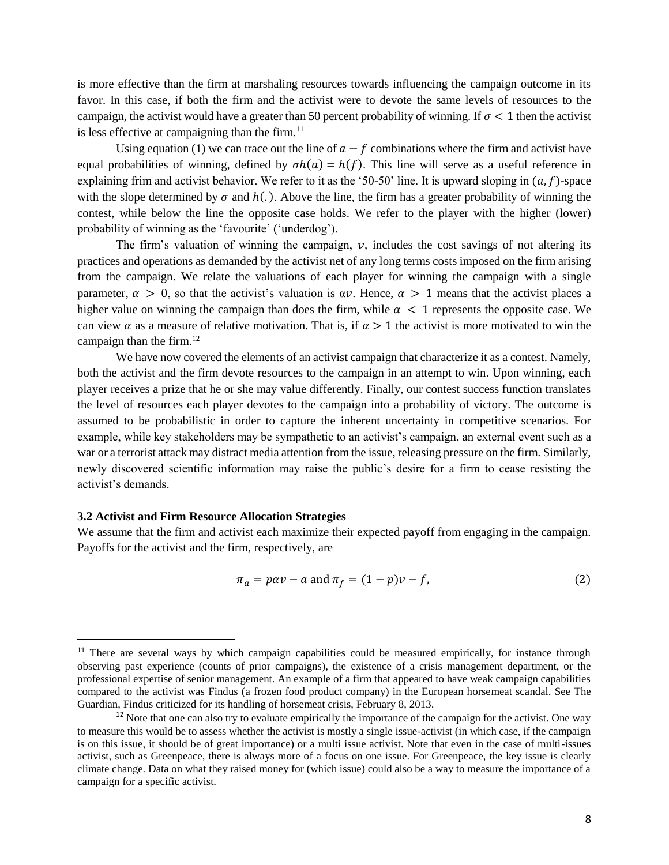is more effective than the firm at marshaling resources towards influencing the campaign outcome in its favor. In this case, if both the firm and the activist were to devote the same levels of resources to the campaign, the activist would have a greater than 50 percent probability of winning. If  $\sigma < 1$  then the activist is less effective at campaigning than the firm. $11$ 

Using equation (1) we can trace out the line of  $a - f$  combinations where the firm and activist have equal probabilities of winning, defined by  $\sigma h(a) = h(f)$ . This line will serve as a useful reference in explaining frim and activist behavior. We refer to it as the '50-50' line. It is upward sloping in  $(a, f)$ -space with the slope determined by  $\sigma$  and  $h(.)$ . Above the line, the firm has a greater probability of winning the contest, while below the line the opposite case holds. We refer to the player with the higher (lower) probability of winning as the 'favourite' ('underdog').

The firm's valuation of winning the campaign,  $v$ , includes the cost savings of not altering its practices and operations as demanded by the activist net of any long terms costs imposed on the firm arising from the campaign. We relate the valuations of each player for winning the campaign with a single parameter,  $\alpha > 0$ , so that the activist's valuation is  $\alpha v$ . Hence,  $\alpha > 1$  means that the activist places a higher value on winning the campaign than does the firm, while  $\alpha < 1$  represents the opposite case. We can view  $\alpha$  as a measure of relative motivation. That is, if  $\alpha > 1$  the activist is more motivated to win the campaign than the firm. $12$ 

We have now covered the elements of an activist campaign that characterize it as a contest. Namely, both the activist and the firm devote resources to the campaign in an attempt to win. Upon winning, each player receives a prize that he or she may value differently. Finally, our contest success function translates the level of resources each player devotes to the campaign into a probability of victory. The outcome is assumed to be probabilistic in order to capture the inherent uncertainty in competitive scenarios. For example, while key stakeholders may be sympathetic to an activist's campaign, an external event such as a war or a terrorist attack may distract media attention from the issue, releasing pressure on the firm. Similarly, newly discovered scientific information may raise the public's desire for a firm to cease resisting the activist's demands.

#### **3.2 Activist and Firm Resource Allocation Strategies**

 $\overline{a}$ 

We assume that the firm and activist each maximize their expected payoff from engaging in the campaign. Payoffs for the activist and the firm, respectively, are

$$
\pi_a = p\alpha v - a \text{ and } \pi_f = (1 - p)v - f,\tag{2}
$$

<sup>&</sup>lt;sup>11</sup> There are several ways by which campaign capabilities could be measured empirically, for instance through observing past experience (counts of prior campaigns), the existence of a crisis management department, or the professional expertise of senior management. An example of a firm that appeared to have weak campaign capabilities compared to the activist was Findus (a frozen food product company) in the European horsemeat scandal. See The Guardian, Findus criticized for its handling of horsemeat crisis, February 8, 2013.

 $12$  Note that one can also try to evaluate empirically the importance of the campaign for the activist. One way to measure this would be to assess whether the activist is mostly a single issue-activist (in which case, if the campaign is on this issue, it should be of great importance) or a multi issue activist. Note that even in the case of multi-issues activist, such as Greenpeace, there is always more of a focus on one issue. For Greenpeace, the key issue is clearly climate change. Data on what they raised money for (which issue) could also be a way to measure the importance of a campaign for a specific activist.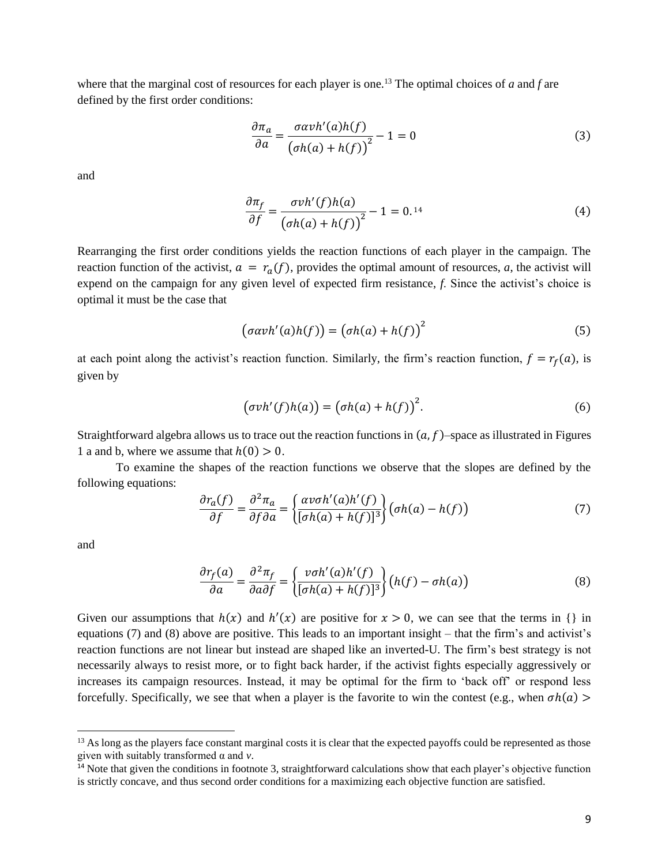where that the marginal cost of resources for each player is one.<sup>13</sup> The optimal choices of *a* and *f* are defined by the first order conditions:

$$
\frac{\partial \pi_a}{\partial a} = \frac{\sigma \alpha v h'(a) h(f)}{\left(\sigma h(a) + h(f)\right)^2} - 1 = 0
$$
\n(3)

and

$$
\frac{\partial \pi_f}{\partial f} = \frac{\sigma v h'(f) h(a)}{\left(\sigma h(a) + h(f)\right)^2} - 1 = 0.14\tag{4}
$$

Rearranging the first order conditions yields the reaction functions of each player in the campaign. The reaction function of the activist,  $a = r_a(f)$ , provides the optimal amount of resources, *a*, the activist will expend on the campaign for any given level of expected firm resistance, *f*. Since the activist's choice is optimal it must be the case that

$$
(\sigma \alpha v h'(a)h(f)) = (\sigma h(a) + h(f))^2
$$
\n(5)

at each point along the activist's reaction function. Similarly, the firm's reaction function,  $f = r<sub>f</sub>(a)$ , is given by

$$
(\sigma v h'(f)h(a)) = (\sigma h(a) + h(f))^2.
$$
 (6)

Straightforward algebra allows us to trace out the reaction functions in  $(a, f)$ –space as illustrated in Figures 1 a and b, where we assume that  $h(0) > 0$ .

To examine the shapes of the reaction functions we observe that the slopes are defined by the following equations:

$$
\frac{\partial r_a(f)}{\partial f} = \frac{\partial^2 \pi_a}{\partial f \partial a} = \left\{ \frac{\alpha v \sigma h'(a) h'(f)}{[\sigma h(a) + h(f)]^3} \right\} (\sigma h(a) - h(f)) \tag{7}
$$

and

 $\ddot{\phantom{a}}$ 

$$
\frac{\partial r_f(a)}{\partial a} = \frac{\partial^2 \pi_f}{\partial a \partial f} = \left\{ \frac{v \sigma h'(a) h'(f)}{[\sigma h(a) + h(f)]^3} \right\} (h(f) - \sigma h(a)) \tag{8}
$$

Given our assumptions that  $h(x)$  and  $h'(x)$  are positive for  $x > 0$ , we can see that the terms in {} in equations (7) and (8) above are positive. This leads to an important insight – that the firm's and activist's reaction functions are not linear but instead are shaped like an inverted-U. The firm's best strategy is not necessarily always to resist more, or to fight back harder, if the activist fights especially aggressively or increases its campaign resources. Instead, it may be optimal for the firm to 'back off' or respond less forcefully. Specifically, we see that when a player is the favorite to win the contest (e.g., when  $\sigma h(a)$ )

<sup>&</sup>lt;sup>13</sup> As long as the players face constant marginal costs it is clear that the expected payoffs could be represented as those given with suitably transformed α and *v*.

 $<sup>14</sup>$  Note that given the conditions in footnote 3, straightforward calculations show that each player's objective function</sup> is strictly concave, and thus second order conditions for a maximizing each objective function are satisfied.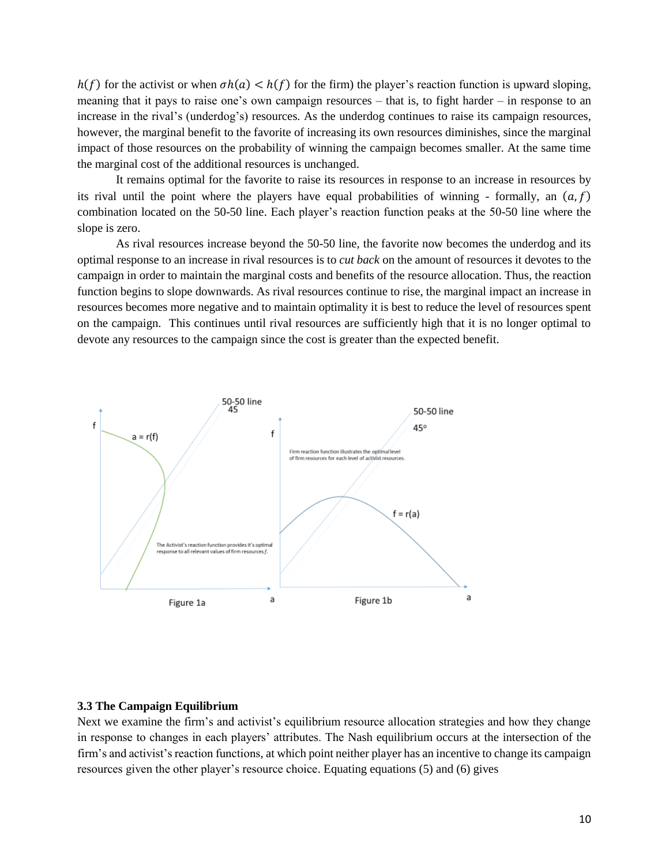$h(f)$  for the activist or when  $\sigma h(a) < h(f)$  for the firm) the player's reaction function is upward sloping, meaning that it pays to raise one's own campaign resources – that is, to fight harder – in response to an increase in the rival's (underdog's) resources. As the underdog continues to raise its campaign resources, however, the marginal benefit to the favorite of increasing its own resources diminishes, since the marginal impact of those resources on the probability of winning the campaign becomes smaller. At the same time the marginal cost of the additional resources is unchanged.

It remains optimal for the favorite to raise its resources in response to an increase in resources by its rival until the point where the players have equal probabilities of winning - formally, an  $(a, f)$ combination located on the 50-50 line. Each player's reaction function peaks at the 50-50 line where the slope is zero.

As rival resources increase beyond the 50-50 line, the favorite now becomes the underdog and its optimal response to an increase in rival resources is to *cut back* on the amount of resources it devotes to the campaign in order to maintain the marginal costs and benefits of the resource allocation. Thus, the reaction function begins to slope downwards. As rival resources continue to rise, the marginal impact an increase in resources becomes more negative and to maintain optimality it is best to reduce the level of resources spent on the campaign. This continues until rival resources are sufficiently high that it is no longer optimal to devote any resources to the campaign since the cost is greater than the expected benefit.



### **3.3 The Campaign Equilibrium**

Next we examine the firm's and activist's equilibrium resource allocation strategies and how they change in response to changes in each players' attributes. The Nash equilibrium occurs at the intersection of the firm's and activist's reaction functions, at which point neither player has an incentive to change its campaign resources given the other player's resource choice. Equating equations (5) and (6) gives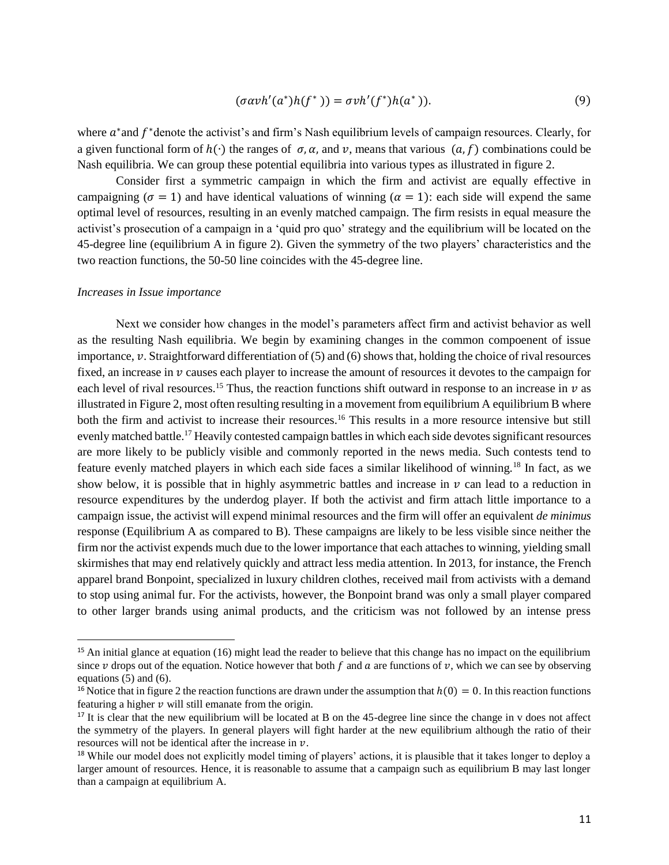$$
(\sigma \alpha v h'(a^*) h(f^*)) = \sigma v h'(f^*) h(a^*)). \tag{9}
$$

where  $a^*$  and  $f^*$  denote the activist's and firm's Nash equilibrium levels of campaign resources. Clearly, for a given functional form of  $h(\cdot)$  the ranges of  $\sigma, \alpha$ , and  $\nu$ , means that various  $(a, f)$  combinations could be Nash equilibria. We can group these potential equilibria into various types as illustrated in figure 2.

Consider first a symmetric campaign in which the firm and activist are equally effective in campaigning ( $\sigma = 1$ ) and have identical valuations of winning ( $\alpha = 1$ ): each side will expend the same optimal level of resources, resulting in an evenly matched campaign. The firm resists in equal measure the activist's prosecution of a campaign in a 'quid pro quo' strategy and the equilibrium will be located on the 45-degree line (equilibrium A in figure 2). Given the symmetry of the two players' characteristics and the two reaction functions, the 50-50 line coincides with the 45-degree line.

#### *Increases in Issue importance*

 $\overline{a}$ 

Next we consider how changes in the model's parameters affect firm and activist behavior as well as the resulting Nash equilibria. We begin by examining changes in the common compoenent of issue importance,  $v$ . Straightforward differentiation of (5) and (6) shows that, holding the choice of rival resources fixed, an increase in  $\nu$  causes each player to increase the amount of resources it devotes to the campaign for each level of rival resources.<sup>15</sup> Thus, the reaction functions shift outward in response to an increase in  $\nu$  as illustrated in Figure 2, most often resulting resulting in a movement from equilibrium A equilibrium B where both the firm and activist to increase their resources.<sup>16</sup> This results in a more resource intensive but still evenly matched battle.<sup>17</sup> Heavily contested campaign battles in which each side devotes significant resources are more likely to be publicly visible and commonly reported in the news media. Such contests tend to feature evenly matched players in which each side faces a similar likelihood of winning.<sup>18</sup> In fact, as we show below, it is possible that in highly asymmetric battles and increase in  $\nu$  can lead to a reduction in resource expenditures by the underdog player. If both the activist and firm attach little importance to a campaign issue, the activist will expend minimal resources and the firm will offer an equivalent *de minimus* response (Equilibrium A as compared to B). These campaigns are likely to be less visible since neither the firm nor the activist expends much due to the lower importance that each attaches to winning, yielding small skirmishes that may end relatively quickly and attract less media attention. In 2013, for instance, the French apparel brand Bonpoint, specialized in luxury children clothes, received mail from activists with a demand to stop using animal fur. For the activists, however, the Bonpoint brand was only a small player compared to other larger brands using animal products, and the criticism was not followed by an intense press

<sup>&</sup>lt;sup>15</sup> An initial glance at equation  $(16)$  might lead the reader to believe that this change has no impact on the equilibrium since v drops out of the equation. Notice however that both f and a are functions of  $v$ , which we can see by observing equations (5) and (6).

<sup>&</sup>lt;sup>16</sup> Notice that in figure 2 the reaction functions are drawn under the assumption that  $h(0) = 0$ . In this reaction functions featuring a higher  $\nu$  will still emanate from the origin.

 $17$  It is clear that the new equilibrium will be located at B on the 45-degree line since the change in y does not affect the symmetry of the players. In general players will fight harder at the new equilibrium although the ratio of their resources will not be identical after the increase in  $\nu$ .

<sup>&</sup>lt;sup>18</sup> While our model does not explicitly model timing of players' actions, it is plausible that it takes longer to deploy a larger amount of resources. Hence, it is reasonable to assume that a campaign such as equilibrium B may last longer than a campaign at equilibrium A.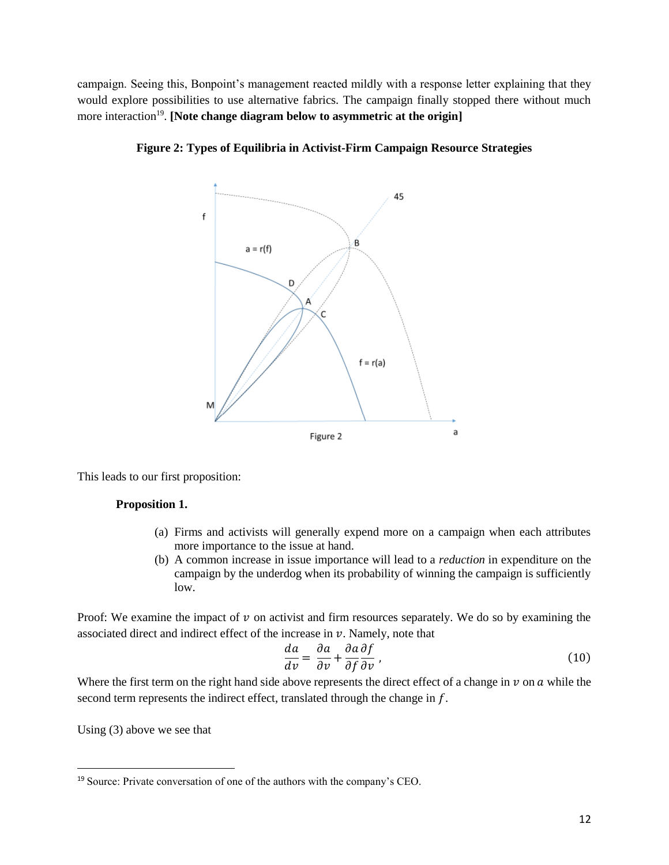campaign. Seeing this, Bonpoint's management reacted mildly with a response letter explaining that they would explore possibilities to use alternative fabrics. The campaign finally stopped there without much more interaction<sup>19</sup>. [Note change diagram below to asymmetric at the origin]



**Figure 2: Types of Equilibria in Activist-Firm Campaign Resource Strategies**

This leads to our first proposition:

# **Proposition 1.**

- (a) Firms and activists will generally expend more on a campaign when each attributes more importance to the issue at hand.
- (b) A common increase in issue importance will lead to a *reduction* in expenditure on the campaign by the underdog when its probability of winning the campaign is sufficiently low.

Proof: We examine the impact of  $\nu$  on activist and firm resources separately. We do so by examining the associated direct and indirect effect of the increase in  $\nu$ . Namely, note that

$$
\frac{da}{dv} = \frac{\partial a}{\partial v} + \frac{\partial a}{\partial f} \frac{\partial f}{\partial v},\tag{10}
$$

Where the first term on the right hand side above represents the direct effect of a change in  $\nu$  on  $a$  while the second term represents the indirect effect, translated through the change in  $f$ .

Using (3) above we see that

 $\ddot{\phantom{a}}$ 

<sup>19</sup> Source: Private conversation of one of the authors with the company's CEO.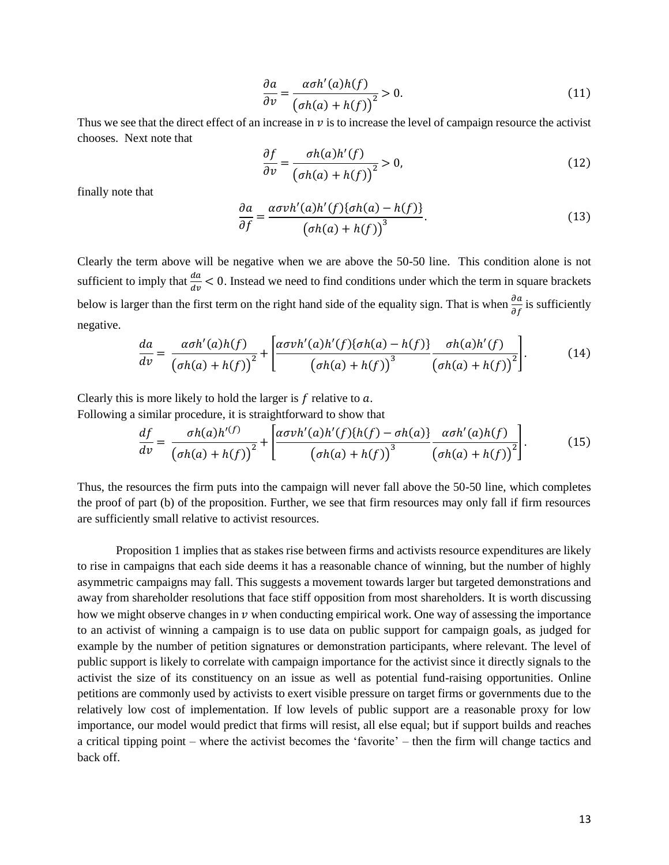$$
\frac{\partial a}{\partial v} = \frac{\alpha \sigma h'(a)h(f)}{\left(\sigma h(a) + h(f)\right)^2} > 0.
$$
\n(11)

Thus we see that the direct effect of an increase in  $\nu$  is to increase the level of campaign resource the activist chooses. Next note that

$$
\frac{\partial f}{\partial v} = \frac{\sigma h(a)h'(f)}{\left(\sigma h(a) + h(f)\right)^2} > 0,\tag{12}
$$

finally note that

$$
\frac{\partial a}{\partial f} = \frac{\alpha \sigma v h'(a) h'(f) \{\sigma h(a) - h(f)\}}{\left(\sigma h(a) + h(f)\right)^3}.
$$
\n(13)

Clearly the term above will be negative when we are above the 50-50 line. This condition alone is not sufficient to imply that  $\frac{da}{dv} < 0$ . Instead we need to find conditions under which the term in square brackets below is larger than the first term on the right hand side of the equality sign. That is when  $\frac{\partial a}{\partial f}$  is sufficiently negative.

$$
\frac{da}{dv} = \frac{\alpha \sigma h'(a)h(f)}{\left(\sigma h(a) + h(f)\right)^2} + \left[\frac{\alpha \sigma v h'(a)h'(f)\left\{\sigma h(a) - h(f)\right\}}{\left(\sigma h(a) + h(f)\right)^3} \frac{\sigma h(a)h'(f)}{\left(\sigma h(a) + h(f)\right)^2}\right].\tag{14}
$$

Clearly this is more likely to hold the larger is  $f$  relative to  $a$ . Following a similar procedure, it is straightforward to show that

$$
\frac{df}{dv} = \frac{\sigma h(a)h^{\prime(f)}}{\left(\sigma h(a) + h(f)\right)^2} + \left[\frac{\alpha \sigma v h^{\prime}(a) h^{\prime}(f) \{h(f) - \sigma h(a)\}}{\left(\sigma h(a) + h(f)\right)^3} \frac{\alpha \sigma h^{\prime}(a) h(f)}{\left(\sigma h(a) + h(f)\right)^2}\right].\tag{15}
$$

Thus, the resources the firm puts into the campaign will never fall above the 50-50 line, which completes the proof of part (b) of the proposition. Further, we see that firm resources may only fall if firm resources are sufficiently small relative to activist resources.

Proposition 1 implies that as stakes rise between firms and activists resource expenditures are likely to rise in campaigns that each side deems it has a reasonable chance of winning, but the number of highly asymmetric campaigns may fall. This suggests a movement towards larger but targeted demonstrations and away from shareholder resolutions that face stiff opposition from most shareholders. It is worth discussing how we might observe changes in  $\nu$  when conducting empirical work. One way of assessing the importance to an activist of winning a campaign is to use data on public support for campaign goals, as judged for example by the number of petition signatures or demonstration participants, where relevant. The level of public support is likely to correlate with campaign importance for the activist since it directly signals to the activist the size of its constituency on an issue as well as potential fund-raising opportunities. Online petitions are commonly used by activists to exert visible pressure on target firms or governments due to the relatively low cost of implementation. If low levels of public support are a reasonable proxy for low importance, our model would predict that firms will resist, all else equal; but if support builds and reaches a critical tipping point – where the activist becomes the 'favorite' – then the firm will change tactics and back off.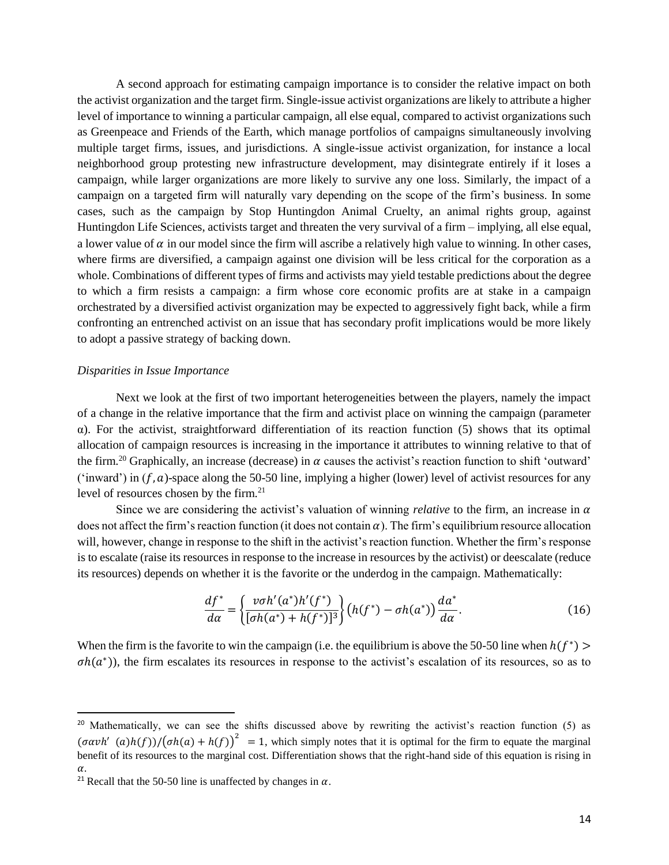A second approach for estimating campaign importance is to consider the relative impact on both the activist organization and the target firm. Single-issue activist organizations are likely to attribute a higher level of importance to winning a particular campaign, all else equal, compared to activist organizations such as Greenpeace and Friends of the Earth, which manage portfolios of campaigns simultaneously involving multiple target firms, issues, and jurisdictions. A single-issue activist organization, for instance a local neighborhood group protesting new infrastructure development, may disintegrate entirely if it loses a campaign, while larger organizations are more likely to survive any one loss. Similarly, the impact of a campaign on a targeted firm will naturally vary depending on the scope of the firm's business. In some cases, such as the campaign by Stop Huntingdon Animal Cruelty, an animal rights group, against Huntingdon Life Sciences, activists target and threaten the very survival of a firm – implying, all else equal, a lower value of  $\alpha$  in our model since the firm will ascribe a relatively high value to winning. In other cases, where firms are diversified, a campaign against one division will be less critical for the corporation as a whole. Combinations of different types of firms and activists may yield testable predictions about the degree to which a firm resists a campaign: a firm whose core economic profits are at stake in a campaign orchestrated by a diversified activist organization may be expected to aggressively fight back, while a firm confronting an entrenched activist on an issue that has secondary profit implications would be more likely to adopt a passive strategy of backing down.

#### *Disparities in Issue Importance*

Next we look at the first of two important heterogeneities between the players, namely the impact of a change in the relative importance that the firm and activist place on winning the campaign (parameter α). For the activist, straightforward differentiation of its reaction function (5) shows that its optimal allocation of campaign resources is increasing in the importance it attributes to winning relative to that of the firm.<sup>20</sup> Graphically, an increase (decrease) in  $\alpha$  causes the activist's reaction function to shift 'outward' ('inward') in  $(f, a)$ -space along the 50-50 line, implying a higher (lower) level of activist resources for any level of resources chosen by the firm.<sup>21</sup>

Since we are considering the activist's valuation of winning *relative* to the firm, an increase in  $\alpha$ does not affect the firm's reaction function (it does not contain  $\alpha$ ). The firm's equilibrium resource allocation will, however, change in response to the shift in the activist's reaction function. Whether the firm's response is to escalate (raise its resources in response to the increase in resources by the activist) or deescalate (reduce its resources) depends on whether it is the favorite or the underdog in the campaign. Mathematically:

$$
\frac{df^*}{d\alpha} = \left\{ \frac{v\sigma h'(a^*)h'(f^*)}{[\sigma h(a^*) + h(f^*)]^3} \right\} \left( h(f^*) - \sigma h(a^*) \right) \frac{da^*}{d\alpha}.\tag{16}
$$

When the firm is the favorite to win the campaign (i.e. the equilibrium is above the 50-50 line when  $h(f^*)$ )  $\sigma h(a^*)$ ), the firm escalates its resources in response to the activist's escalation of its resources, so as to

 $\overline{a}$ 

<sup>&</sup>lt;sup>20</sup> Mathematically, we can see the shifts discussed above by rewriting the activist's reaction function (5) as  $(\sigma \alpha v h'$   $(a)h(f))/( \sigma h(a) + h(f))^2 = 1$ , which simply notes that it is optimal for the firm to equate the marginal benefit of its resources to the marginal cost. Differentiation shows that the right-hand side of this equation is rising in  $\alpha$ .

<sup>&</sup>lt;sup>21</sup> Recall that the 50-50 line is unaffected by changes in  $\alpha$ .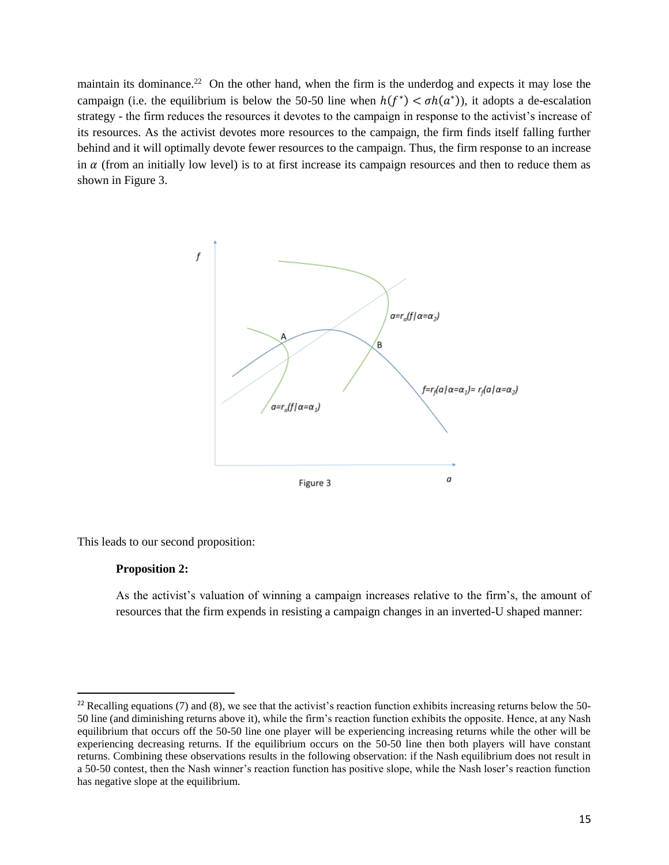maintain its dominance.<sup>22</sup> On the other hand, when the firm is the underdog and expects it may lose the campaign (i.e. the equilibrium is below the 50-50 line when  $h(f^*) < \sigma h(a^*)$ ), it adopts a de-escalation strategy - the firm reduces the resources it devotes to the campaign in response to the activist's increase of its resources. As the activist devotes more resources to the campaign, the firm finds itself falling further behind and it will optimally devote fewer resources to the campaign. Thus, the firm response to an increase in  $\alpha$  (from an initially low level) is to at first increase its campaign resources and then to reduce them as shown in Figure 3.



This leads to our second proposition:

### **Proposition 2:**

 $\ddot{\phantom{a}}$ 

As the activist's valuation of winning a campaign increases relative to the firm's, the amount of resources that the firm expends in resisting a campaign changes in an inverted-U shaped manner:

 $22$  Recalling equations (7) and (8), we see that the activist's reaction function exhibits increasing returns below the 50-50 line (and diminishing returns above it), while the firm's reaction function exhibits the opposite. Hence, at any Nash equilibrium that occurs off the 50-50 line one player will be experiencing increasing returns while the other will be experiencing decreasing returns. If the equilibrium occurs on the 50-50 line then both players will have constant returns. Combining these observations results in the following observation: if the Nash equilibrium does not result in a 50-50 contest, then the Nash winner's reaction function has positive slope, while the Nash loser's reaction function has negative slope at the equilibrium.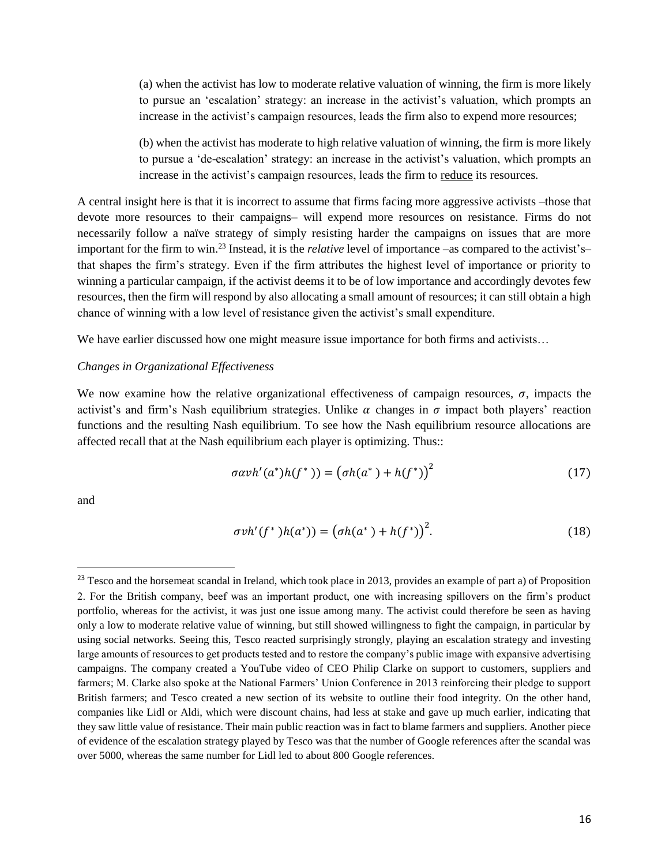(a) when the activist has low to moderate relative valuation of winning, the firm is more likely to pursue an 'escalation' strategy: an increase in the activist's valuation, which prompts an increase in the activist's campaign resources, leads the firm also to expend more resources;

(b) when the activist has moderate to high relative valuation of winning, the firm is more likely to pursue a 'de-escalation' strategy: an increase in the activist's valuation, which prompts an increase in the activist's campaign resources, leads the firm to reduce its resources.

A central insight here is that it is incorrect to assume that firms facing more aggressive activists –those that devote more resources to their campaigns– will expend more resources on resistance. Firms do not necessarily follow a naïve strategy of simply resisting harder the campaigns on issues that are more important for the firm to win.<sup>23</sup> Instead, it is the *relative* level of importance –as compared to the activist's– that shapes the firm's strategy. Even if the firm attributes the highest level of importance or priority to winning a particular campaign, if the activist deems it to be of low importance and accordingly devotes few resources, then the firm will respond by also allocating a small amount of resources; it can still obtain a high chance of winning with a low level of resistance given the activist's small expenditure.

We have earlier discussed how one might measure issue importance for both firms and activists...

#### *Changes in Organizational Effectiveness*

We now examine how the relative organizational effectiveness of campaign resources,  $\sigma$ , impacts the activist's and firm's Nash equilibrium strategies. Unlike  $\alpha$  changes in  $\sigma$  impact both players' reaction functions and the resulting Nash equilibrium. To see how the Nash equilibrium resource allocations are affected recall that at the Nash equilibrium each player is optimizing. Thus::

$$
\sigma \alpha v h'(a^*) h(f^*)) = \left(\sigma h(a^*) + h(f^*)\right)^2 \tag{17}
$$

and

 $\overline{a}$ 

$$
\sigma v h'(f^*) h(a^*) = (\sigma h(a^*) + h(f^*))^2.
$$
 (18)

<sup>&</sup>lt;sup>23</sup> Tesco and the horsemeat scandal in Ireland, which took place in 2013, provides an example of part a) of Proposition 2. For the British company, beef was an important product, one with increasing spillovers on the firm's product portfolio, whereas for the activist, it was just one issue among many. The activist could therefore be seen as having only a low to moderate relative value of winning, but still showed willingness to fight the campaign, in particular by using social networks. Seeing this, Tesco reacted surprisingly strongly, playing an escalation strategy and investing large amounts of resources to get products tested and to restore the company's public image with expansive advertising campaigns. The company created a YouTube video of CEO Philip Clarke on support to customers, suppliers and farmers; M. Clarke also spoke at the National Farmers' Union Conference in 2013 reinforcing their pledge to support British farmers; and Tesco created a new section of its website to outline their food integrity. On the other hand, companies like Lidl or Aldi, which were discount chains, had less at stake and gave up much earlier, indicating that they saw little value of resistance. Their main public reaction was in fact to blame farmers and suppliers. Another piece of evidence of the escalation strategy played by Tesco was that the number of Google references after the scandal was over 5000, whereas the same number for Lidl led to about 800 Google references.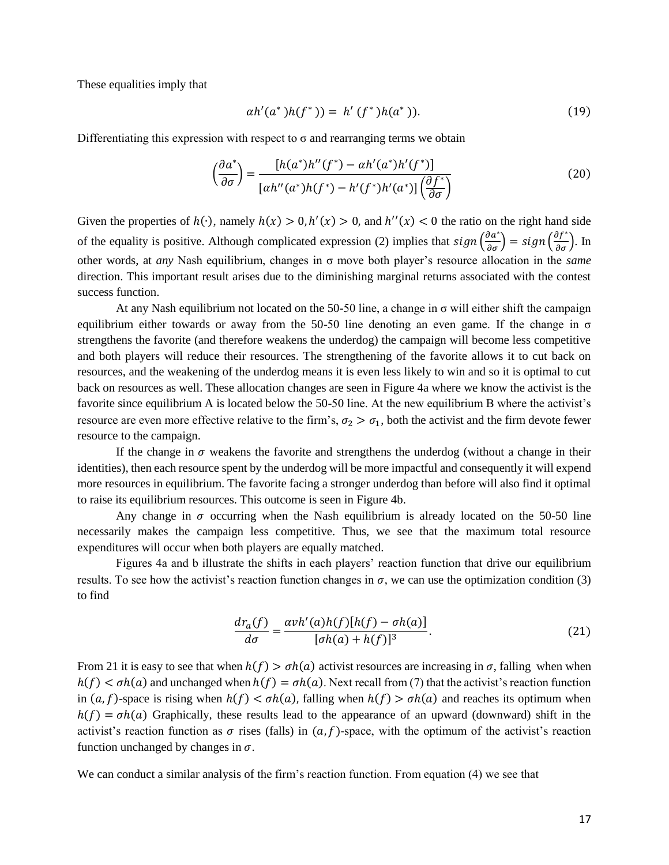These equalities imply that

$$
\alpha h'(a^*)h(f^*)) = h'(f^*)h(a^*)). \tag{19}
$$

Differentiating this expression with respect to  $\sigma$  and rearranging terms we obtain

$$
\left(\frac{\partial a^*}{\partial \sigma}\right) = \frac{\left[h(a^*)h''(f^*) - \alpha h'(a^*)h'(f^*)\right]}{\left[\alpha h''(a^*)h(f^*) - h'(f^*)h'(a^*)\right]\left(\frac{\partial f^*}{\partial \sigma}\right)}\tag{20}
$$

Given the properties of  $h(\cdot)$ , namely  $h(x) > 0$ ,  $h'(x) > 0$ , and  $h''(x) < 0$  the ratio on the right hand side of the equality is positive. Although complicated expression (2) implies that  $sign\left(\frac{\partial a^*}{\partial \sigma}\right) = sign\left(\frac{\partial f^*}{\partial \sigma}\right)$ . In other words, at *any* Nash equilibrium, changes in σ move both player's resource allocation in the *same* direction. This important result arises due to the diminishing marginal returns associated with the contest success function.

At any Nash equilibrium not located on the 50-50 line, a change in σ will either shift the campaign equilibrium either towards or away from the 50-50 line denoting an even game. If the change in  $\sigma$ strengthens the favorite (and therefore weakens the underdog) the campaign will become less competitive and both players will reduce their resources. The strengthening of the favorite allows it to cut back on resources, and the weakening of the underdog means it is even less likely to win and so it is optimal to cut back on resources as well. These allocation changes are seen in Figure 4a where we know the activist is the favorite since equilibrium A is located below the 50-50 line. At the new equilibrium B where the activist's resource are even more effective relative to the firm's,  $\sigma_2 > \sigma_1$ , both the activist and the firm devote fewer resource to the campaign.

If the change in  $\sigma$  weakens the favorite and strengthens the underdog (without a change in their identities), then each resource spent by the underdog will be more impactful and consequently it will expend more resources in equilibrium. The favorite facing a stronger underdog than before will also find it optimal to raise its equilibrium resources. This outcome is seen in Figure 4b.

Any change in  $\sigma$  occurring when the Nash equilibrium is already located on the 50-50 line necessarily makes the campaign less competitive. Thus, we see that the maximum total resource expenditures will occur when both players are equally matched.

Figures 4a and b illustrate the shifts in each players' reaction function that drive our equilibrium results. To see how the activist's reaction function changes in  $\sigma$ , we can use the optimization condition (3) to find

$$
\frac{dr_a(f)}{d\sigma} = \frac{\alpha v h'(a)h(f)[h(f) - \sigma h(a)]}{[\sigma h(a) + h(f)]^3}.
$$
\n(21)

From 21 it is easy to see that when  $h(f) > \sigma h(a)$  activist resources are increasing in  $\sigma$ , falling when when  $h(f) < \sigma h(a)$  and unchanged when  $h(f) = \sigma h(a)$ . Next recall from (7) that the activist's reaction function in  $(a, f)$ -space is rising when  $h(f) < \sigma h(a)$ , falling when  $h(f) > \sigma h(a)$  and reaches its optimum when  $h(f) = \sigma h(a)$  Graphically, these results lead to the appearance of an upward (downward) shift in the activist's reaction function as  $\sigma$  rises (falls) in  $(a, f)$ -space, with the optimum of the activist's reaction function unchanged by changes in  $\sigma$ .

We can conduct a similar analysis of the firm's reaction function. From equation (4) we see that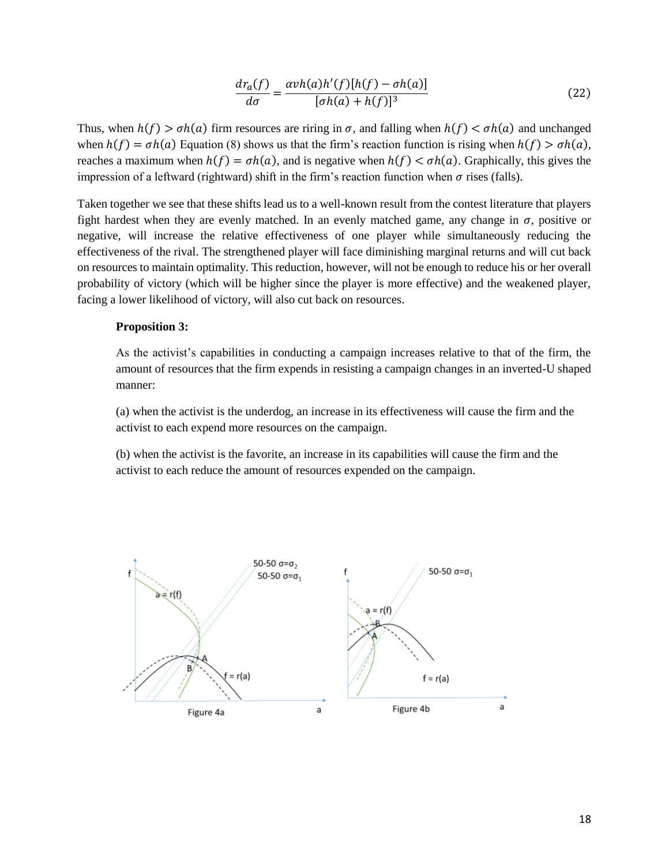$$
\frac{dr_a(f)}{d\sigma} = \frac{\alpha v h(a)h'(f)[h(f) - \sigma h(a)]}{[\sigma h(a) + h(f)]^3}
$$
\n(22)

Thus, when  $h(f) > \sigma h(a)$  firm resources are riring in  $\sigma$ , and falling when  $h(f) < \sigma h(a)$  and unchanged when  $h(f) = \sigma h(a)$  Equation (8) shows us that the firm's reaction function is rising when  $h(f) > \sigma h(a)$ , reaches a maximum when  $h(f) = \sigma h(a)$ , and is negative when  $h(f) < \sigma h(a)$ . Graphically, this gives the impression of a leftward (rightward) shift in the firm's reaction function when  $\sigma$  rises (falls).

Taken together we see that these shifts lead us to a well-known result from the contest literature that players fight hardest when they are evenly matched. In an evenly matched game, any change in  $\sigma$ , positive or negative, will increase the relative effectiveness of one player while simultaneously reducing the effectiveness of the rival. The strengthened player will face diminishing marginal returns and will cut back on resources to maintain optimality. This reduction, however, will not be enough to reduce his or her overall probability of victory (which will be higher since the player is more effective) and the weakened player, facing a lower likelihood of victory, will also cut back on resources.

### **Proposition 3:**

As the activist's capabilities in conducting a campaign increases relative to that of the firm, the amount of resources that the firm expends in resisting a campaign changes in an inverted-U shaped manner:

(a) when the activist is the underdog, an increase in its effectiveness will cause the firm and the activist to each expend more resources on the campaign.

(b) when the activist is the favorite, an increase in its capabilities will cause the firm and the activist to each reduce the amount of resources expended on the campaign.

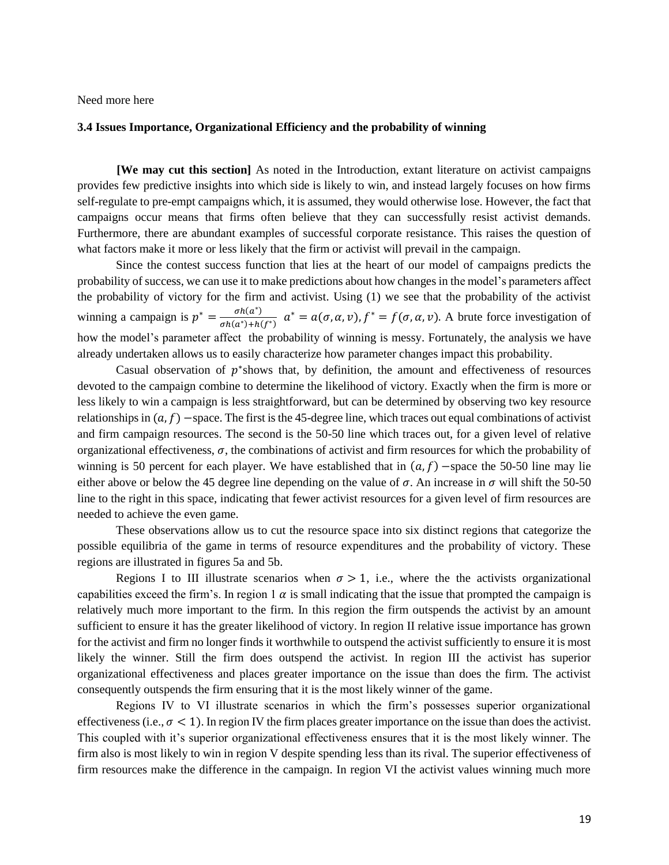Need more here

#### **3.4 Issues Importance, Organizational Efficiency and the probability of winning**

**[We may cut this section]** As noted in the Introduction, extant literature on activist campaigns provides few predictive insights into which side is likely to win, and instead largely focuses on how firms self-regulate to pre-empt campaigns which, it is assumed, they would otherwise lose. However, the fact that campaigns occur means that firms often believe that they can successfully resist activist demands. Furthermore, there are abundant examples of successful corporate resistance. This raises the question of what factors make it more or less likely that the firm or activist will prevail in the campaign.

Since the contest success function that lies at the heart of our model of campaigns predicts the probability of success, we can use it to make predictions about how changes in the model's parameters affect the probability of victory for the firm and activist. Using (1) we see that the probability of the activist winning a campaign is  $p^* = \frac{\sigma h(a^*)}{\sigma h(a^*) + h(a^*)}$  $\frac{\partial h(a^*)}{\partial h(a^*)+h(f^*)}$   $a^* = a(\sigma, \alpha, \nu), f^* = f(\sigma, \alpha, \nu)$ . A brute force investigation of how the model's parameter affect the probability of winning is messy. Fortunately, the analysis we have already undertaken allows us to easily characterize how parameter changes impact this probability.

Casual observation of  $p^*$ shows that, by definition, the amount and effectiveness of resources devoted to the campaign combine to determine the likelihood of victory. Exactly when the firm is more or less likely to win a campaign is less straightforward, but can be determined by observing two key resource relationships in  $(a, f)$  –space. The first is the 45-degree line, which traces out equal combinations of activist and firm campaign resources. The second is the 50-50 line which traces out, for a given level of relative organizational effectiveness,  $\sigma$ , the combinations of activist and firm resources for which the probability of winning is 50 percent for each player. We have established that in  $(a, f)$  –space the 50-50 line may lie either above or below the 45 degree line depending on the value of  $\sigma$ . An increase in  $\sigma$  will shift the 50-50 line to the right in this space, indicating that fewer activist resources for a given level of firm resources are needed to achieve the even game.

These observations allow us to cut the resource space into six distinct regions that categorize the possible equilibria of the game in terms of resource expenditures and the probability of victory. These regions are illustrated in figures 5a and 5b.

Regions I to III illustrate scenarios when  $\sigma > 1$ , i.e., where the the activists organizational capabilities exceed the firm's. In region 1  $\alpha$  is small indicating that the issue that prompted the campaign is relatively much more important to the firm. In this region the firm outspends the activist by an amount sufficient to ensure it has the greater likelihood of victory. In region II relative issue importance has grown for the activist and firm no longer finds it worthwhile to outspend the activist sufficiently to ensure it is most likely the winner. Still the firm does outspend the activist. In region III the activist has superior organizational effectiveness and places greater importance on the issue than does the firm. The activist consequently outspends the firm ensuring that it is the most likely winner of the game.

Regions IV to VI illustrate scenarios in which the firm's possesses superior organizational effectiveness (i.e.,  $\sigma$  < 1). In region IV the firm places greater importance on the issue than does the activist. This coupled with it's superior organizational effectiveness ensures that it is the most likely winner. The firm also is most likely to win in region V despite spending less than its rival. The superior effectiveness of firm resources make the difference in the campaign. In region VI the activist values winning much more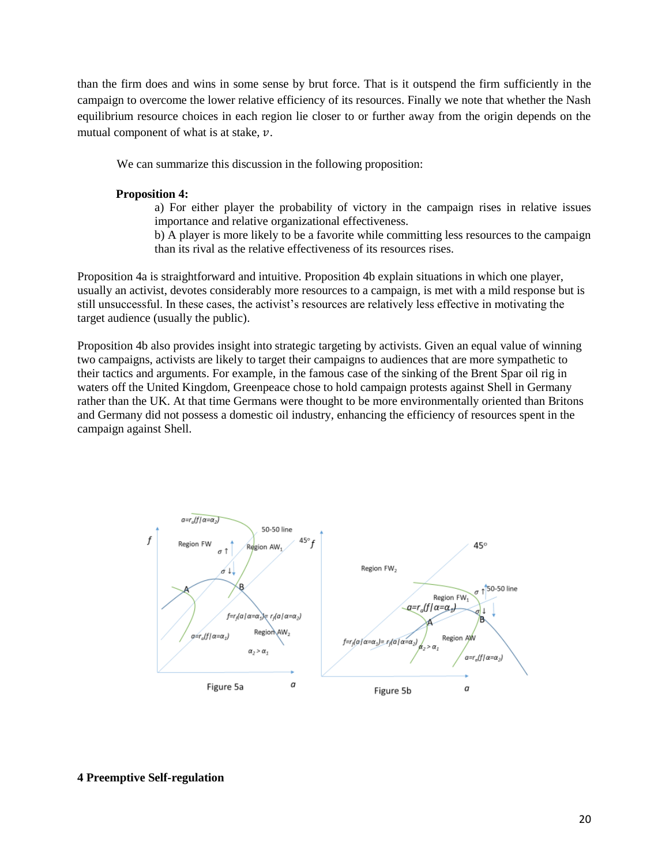than the firm does and wins in some sense by brut force. That is it outspend the firm sufficiently in the campaign to overcome the lower relative efficiency of its resources. Finally we note that whether the Nash equilibrium resource choices in each region lie closer to or further away from the origin depends on the mutual component of what is at stake,  $\nu$ .

We can summarize this discussion in the following proposition:

## **Proposition 4:**

- a) For either player the probability of victory in the campaign rises in relative issues importance and relative organizational effectiveness.
- b) A player is more likely to be a favorite while committing less resources to the campaign than its rival as the relative effectiveness of its resources rises.

Proposition 4a is straightforward and intuitive. Proposition 4b explain situations in which one player, usually an activist, devotes considerably more resources to a campaign, is met with a mild response but is still unsuccessful. In these cases, the activist's resources are relatively less effective in motivating the target audience (usually the public).

Proposition 4b also provides insight into strategic targeting by activists. Given an equal value of winning two campaigns, activists are likely to target their campaigns to audiences that are more sympathetic to their tactics and arguments. For example, in the famous case of the sinking of the Brent Spar oil rig in waters off the United Kingdom, Greenpeace chose to hold campaign protests against Shell in Germany rather than the UK. At that time Germans were thought to be more environmentally oriented than Britons and Germany did not possess a domestic oil industry, enhancing the efficiency of resources spent in the campaign against Shell.



### **4 Preemptive Self-regulation**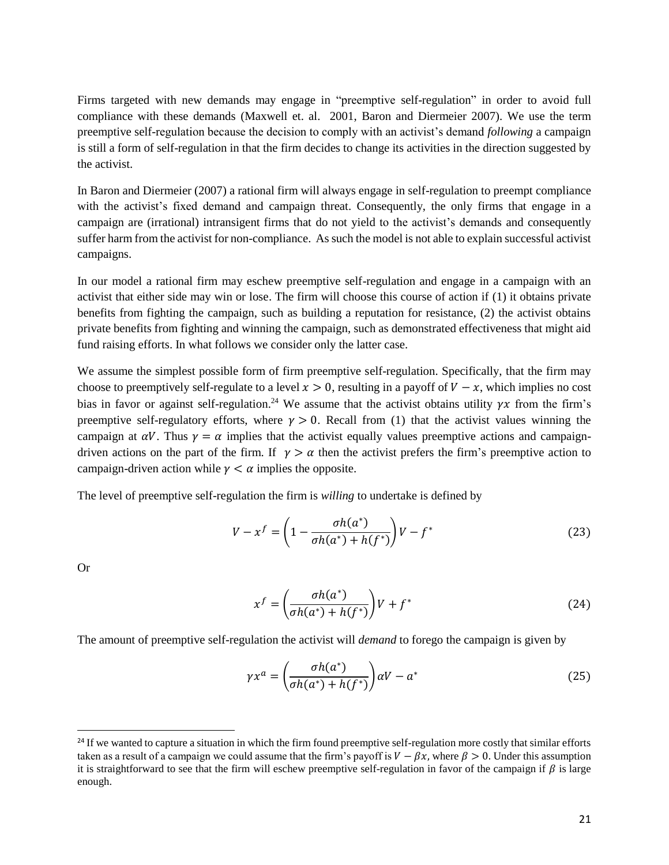Firms targeted with new demands may engage in "preemptive self-regulation" in order to avoid full compliance with these demands (Maxwell et. al. 2001, Baron and Diermeier 2007). We use the term preemptive self-regulation because the decision to comply with an activist's demand *following* a campaign is still a form of self-regulation in that the firm decides to change its activities in the direction suggested by the activist.

In Baron and Diermeier (2007) a rational firm will always engage in self-regulation to preempt compliance with the activist's fixed demand and campaign threat. Consequently, the only firms that engage in a campaign are (irrational) intransigent firms that do not yield to the activist's demands and consequently suffer harm from the activist for non-compliance. As such the model is not able to explain successful activist campaigns.

In our model a rational firm may eschew preemptive self-regulation and engage in a campaign with an activist that either side may win or lose. The firm will choose this course of action if (1) it obtains private benefits from fighting the campaign, such as building a reputation for resistance, (2) the activist obtains private benefits from fighting and winning the campaign, such as demonstrated effectiveness that might aid fund raising efforts. In what follows we consider only the latter case.

We assume the simplest possible form of firm preemptive self-regulation. Specifically, that the firm may choose to preemptively self-regulate to a level  $x > 0$ , resulting in a payoff of  $V - x$ , which implies no cost bias in favor or against self-regulation.<sup>24</sup> We assume that the activist obtains utility  $\gamma x$  from the firm's preemptive self-regulatory efforts, where  $\gamma > 0$ . Recall from (1) that the activist values winning the campaign at  $\alpha V$ . Thus  $\gamma = \alpha$  implies that the activist equally values preemptive actions and campaigndriven actions on the part of the firm. If  $\gamma > \alpha$  then the activist prefers the firm's preemptive action to campaign-driven action while  $\gamma < \alpha$  implies the opposite.

The level of preemptive self-regulation the firm is *willing* to undertake is defined by

$$
V - x^{f} = \left(1 - \frac{\sigma h(a^{*})}{\sigma h(a^{*}) + h(f^{*})}\right) V - f^{*}
$$
 (23)

Or

 $\ddot{\phantom{a}}$ 

$$
x^f = \left(\frac{\sigma h(a^*)}{\sigma h(a^*) + h(f^*)}\right) V + f^*
$$
\n(24)

The amount of preemptive self-regulation the activist will *demand* to forego the campaign is given by

$$
\gamma x^a = \left(\frac{\sigma h(a^*)}{\sigma h(a^*) + h(f^*)}\right) \alpha V - a^* \tag{25}
$$

<sup>&</sup>lt;sup>24</sup> If we wanted to capture a situation in which the firm found preemptive self-regulation more costly that similar efforts taken as a result of a campaign we could assume that the firm's payoff is  $V - \beta x$ , where  $\beta > 0$ . Under this assumption it is straightforward to see that the firm will eschew preemptive self-regulation in favor of the campaign if  $\beta$  is large enough.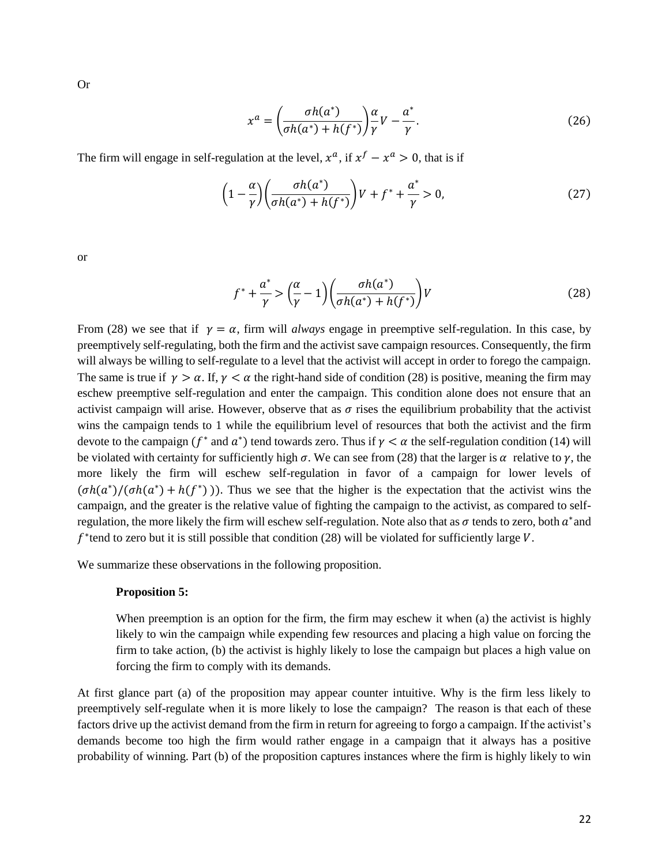Or

$$
x^{a} = \left(\frac{\sigma h(a^{*})}{\sigma h(a^{*}) + h(f^{*})}\right) \frac{\alpha}{\gamma} V - \frac{a^{*}}{\gamma}.
$$
\n(26)

The firm will engage in self-regulation at the level,  $x^a$ , if  $x^f - x^a > 0$ , that is if

$$
\left(1 - \frac{\alpha}{\gamma}\right) \left(\frac{\sigma h(a^*)}{\sigma h(a^*) + h(f^*)}\right) V + f^* + \frac{a^*}{\gamma} > 0,\tag{27}
$$

or

$$
f^* + \frac{a^*}{\gamma} > \left(\frac{\alpha}{\gamma} - 1\right) \left(\frac{\sigma h(a^*)}{\sigma h(a^*) + h(f^*)}\right) V\tag{28}
$$

From (28) we see that if  $\gamma = \alpha$ , firm will *always* engage in preemptive self-regulation. In this case, by preemptively self-regulating, both the firm and the activist save campaign resources. Consequently, the firm will always be willing to self-regulate to a level that the activist will accept in order to forego the campaign. The same is true if  $\gamma > \alpha$ . If,  $\gamma < \alpha$  the right-hand side of condition (28) is positive, meaning the firm may eschew preemptive self-regulation and enter the campaign. This condition alone does not ensure that an activist campaign will arise. However, observe that as  $\sigma$  rises the equilibrium probability that the activist wins the campaign tends to 1 while the equilibrium level of resources that both the activist and the firm devote to the campaign ( $f^*$  and  $a^*$ ) tend towards zero. Thus if  $\gamma < \alpha$  the self-regulation condition (14) will be violated with certainty for sufficiently high  $\sigma$ . We can see from (28) that the larger is  $\alpha$  relative to  $\gamma$ , the more likely the firm will eschew self-regulation in favor of a campaign for lower levels of  $(\sigma h(a^*)/(\sigma h(a^*) + h(f^*))$ ). Thus we see that the higher is the expectation that the activist wins the campaign, and the greater is the relative value of fighting the campaign to the activist, as compared to selfregulation, the more likely the firm will eschew self-regulation. Note also that as  $\sigma$  tends to zero, both  $a^*$  and  $f^*$ tend to zero but it is still possible that condition (28) will be violated for sufficiently large  $V$ .

We summarize these observations in the following proposition.

#### **Proposition 5:**

When preemption is an option for the firm, the firm may eschew it when (a) the activist is highly likely to win the campaign while expending few resources and placing a high value on forcing the firm to take action, (b) the activist is highly likely to lose the campaign but places a high value on forcing the firm to comply with its demands.

At first glance part (a) of the proposition may appear counter intuitive. Why is the firm less likely to preemptively self-regulate when it is more likely to lose the campaign? The reason is that each of these factors drive up the activist demand from the firm in return for agreeing to forgo a campaign. If the activist's demands become too high the firm would rather engage in a campaign that it always has a positive probability of winning. Part (b) of the proposition captures instances where the firm is highly likely to win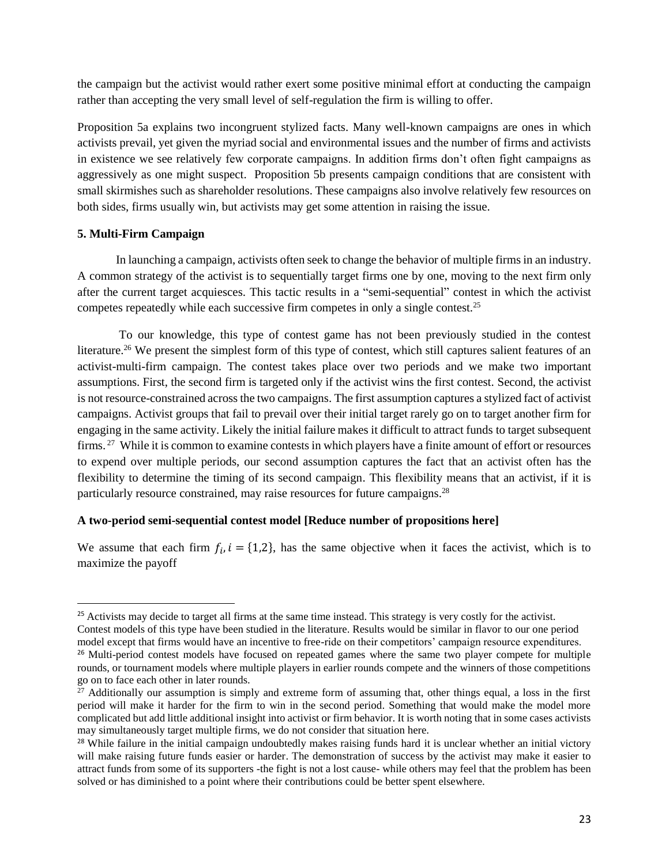the campaign but the activist would rather exert some positive minimal effort at conducting the campaign rather than accepting the very small level of self-regulation the firm is willing to offer.

Proposition 5a explains two incongruent stylized facts. Many well-known campaigns are ones in which activists prevail, yet given the myriad social and environmental issues and the number of firms and activists in existence we see relatively few corporate campaigns. In addition firms don't often fight campaigns as aggressively as one might suspect. Proposition 5b presents campaign conditions that are consistent with small skirmishes such as shareholder resolutions. These campaigns also involve relatively few resources on both sides, firms usually win, but activists may get some attention in raising the issue.

## **5. Multi-Firm Campaign**

 $\overline{a}$ 

In launching a campaign, activists often seek to change the behavior of multiple firms in an industry. A common strategy of the activist is to sequentially target firms one by one, moving to the next firm only after the current target acquiesces. This tactic results in a "semi-sequential" contest in which the activist competes repeatedly while each successive firm competes in only a single contest.<sup>25</sup>

To our knowledge, this type of contest game has not been previously studied in the contest literature.<sup>26</sup> We present the simplest form of this type of contest, which still captures salient features of an activist-multi-firm campaign. The contest takes place over two periods and we make two important assumptions. First, the second firm is targeted only if the activist wins the first contest. Second, the activist is not resource-constrained across the two campaigns. The first assumption captures a stylized fact of activist campaigns. Activist groups that fail to prevail over their initial target rarely go on to target another firm for engaging in the same activity. Likely the initial failure makes it difficult to attract funds to target subsequent firms.<sup>27</sup> While it is common to examine contests in which players have a finite amount of effort or resources to expend over multiple periods, our second assumption captures the fact that an activist often has the flexibility to determine the timing of its second campaign. This flexibility means that an activist, if it is particularly resource constrained, may raise resources for future campaigns.<sup>28</sup>

# **A two-period semi-sequential contest model [Reduce number of propositions here]**

We assume that each firm  $f_i$ ,  $i = \{1,2\}$ , has the same objective when it faces the activist, which is to maximize the payoff

 $25$  Activists may decide to target all firms at the same time instead. This strategy is very costly for the activist. Contest models of this type have been studied in the literature. Results would be similar in flavor to our one period model except that firms would have an incentive to free-ride on their competitors' campaign resource expenditures. <sup>26</sup> Multi-period contest models have focused on repeated games where the same two player compete for multiple rounds, or tournament models where multiple players in earlier rounds compete and the winners of those competitions go on to face each other in later rounds.

 $27$  Additionally our assumption is simply and extreme form of assuming that, other things equal, a loss in the first period will make it harder for the firm to win in the second period. Something that would make the model more complicated but add little additional insight into activist or firm behavior. It is worth noting that in some cases activists may simultaneously target multiple firms, we do not consider that situation here.

 $28$  While failure in the initial campaign undoubtedly makes raising funds hard it is unclear whether an initial victory will make raising future funds easier or harder. The demonstration of success by the activist may make it easier to attract funds from some of its supporters -the fight is not a lost cause- while others may feel that the problem has been solved or has diminished to a point where their contributions could be better spent elsewhere.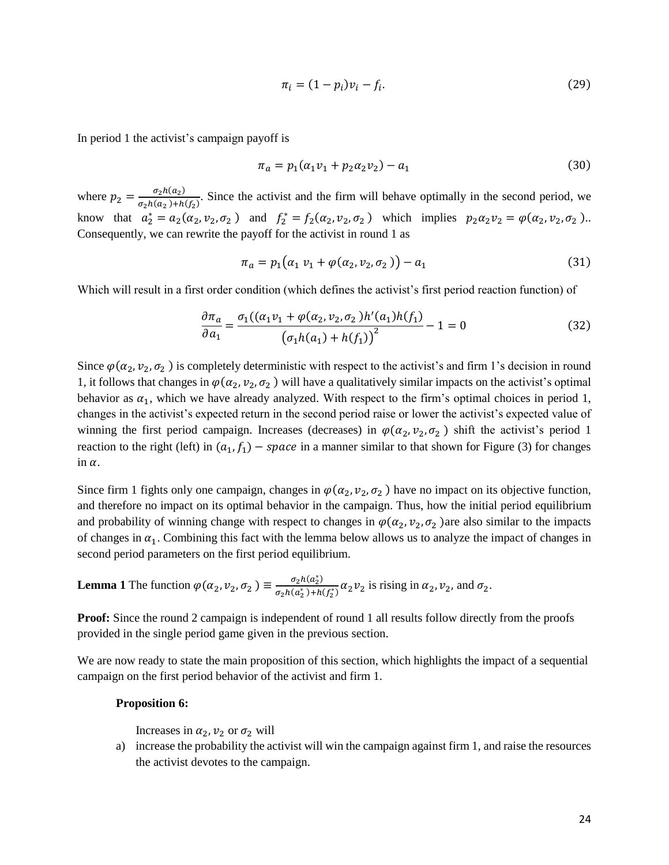$$
\pi_i = (1 - p_i)v_i - f_i.
$$
 (29)

In period 1 the activist's campaign payoff is

$$
\pi_a = p_1(\alpha_1 v_1 + p_2 \alpha_2 v_2) - a_1 \tag{30}
$$

where  $p_2 = \frac{\sigma_2 h(a_2)}{\sigma_2 h(a_2) + h_1}$  $\frac{b_2h(a_2)}{\sigma_2h(a_2)+h(f_2)}$ . Since the activist and the firm will behave optimally in the second period, we know that  $a_2^* = a_2(\alpha_2, \nu_2, \sigma_2)$  and  $f_2^* = f_2(\alpha_2, \nu_2, \sigma_2)$  which implies  $p_2 \alpha_2 \nu_2 = \varphi(\alpha_2, \nu_2, \sigma_2)$ . Consequently, we can rewrite the payoff for the activist in round 1 as

$$
\pi_a = p_1(\alpha_1 \, v_1 + \varphi(\alpha_2, v_2, \sigma_2)) - a_1 \tag{31}
$$

Which will result in a first order condition (which defines the activist's first period reaction function) of

$$
\frac{\partial \pi_a}{\partial a_1} = \frac{\sigma_1((a_1v_1 + \varphi(a_2, v_2, \sigma_2)h'(a_1)h(f_1))}{(\sigma_1h(a_1) + h(f_1))^2} - 1 = 0
$$
\n(32)

Since  $\varphi(\alpha_2, \nu_2, \sigma_2)$  is completely deterministic with respect to the activist's and firm 1's decision in round 1, it follows that changes in  $\varphi(\alpha_2, \nu_2, \sigma_2)$  will have a qualitatively similar impacts on the activist's optimal behavior as  $\alpha_1$ , which we have already analyzed. With respect to the firm's optimal choices in period 1, changes in the activist's expected return in the second period raise or lower the activist's expected value of winning the first period campaign. Increases (decreases) in  $\varphi(\alpha_2, \nu_2, \sigma_2)$  shift the activist's period 1 reaction to the right (left) in  $(a_1, f_1)$  – space in a manner similar to that shown for Figure (3) for changes in  $\alpha$ .

Since firm 1 fights only one campaign, changes in  $\varphi(\alpha_2, \nu_2, \sigma_2)$  have no impact on its objective function, and therefore no impact on its optimal behavior in the campaign. Thus, how the initial period equilibrium and probability of winning change with respect to changes in  $\varphi(\alpha_2, \nu_2, \sigma_2)$  are also similar to the impacts of changes in  $\alpha_1$ . Combining this fact with the lemma below allows us to analyze the impact of changes in second period parameters on the first period equilibrium.

**Lemma 1** The function 
$$
\varphi(\alpha_2, \nu_2, \sigma_2) \equiv \frac{\sigma_2 h(a_2^*)}{\sigma_2 h(a_2^*) + h(f_2^*)} \alpha_2 \nu_2
$$
 is rising in  $\alpha_2, \nu_2$ , and  $\sigma_2$ .

**Proof:** Since the round 2 campaign is independent of round 1 all results follow directly from the proofs provided in the single period game given in the previous section.

We are now ready to state the main proposition of this section, which highlights the impact of a sequential campaign on the first period behavior of the activist and firm 1.

#### **Proposition 6:**

Increases in  $\alpha_2$ ,  $\nu_2$  or  $\sigma_2$  will

a) increase the probability the activist will win the campaign against firm 1, and raise the resources the activist devotes to the campaign.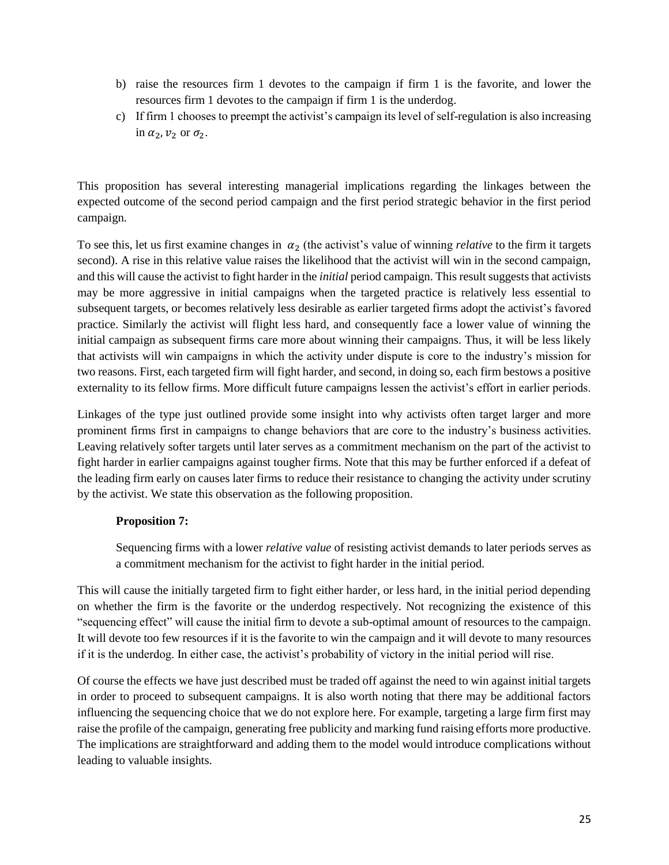- b) raise the resources firm 1 devotes to the campaign if firm 1 is the favorite, and lower the resources firm 1 devotes to the campaign if firm 1 is the underdog.
- c) If firm 1 chooses to preempt the activist's campaign its level of self-regulation is also increasing in  $\alpha_2$ ,  $\nu_2$  or  $\sigma_2$ .

This proposition has several interesting managerial implications regarding the linkages between the expected outcome of the second period campaign and the first period strategic behavior in the first period campaign.

To see this, let us first examine changes in  $\alpha_2$  (the activist's value of winning *relative* to the firm it targets second). A rise in this relative value raises the likelihood that the activist will win in the second campaign, and this will cause the activist to fight harder in the *initial* period campaign. This result suggests that activists may be more aggressive in initial campaigns when the targeted practice is relatively less essential to subsequent targets, or becomes relatively less desirable as earlier targeted firms adopt the activist's favored practice. Similarly the activist will flight less hard, and consequently face a lower value of winning the initial campaign as subsequent firms care more about winning their campaigns. Thus, it will be less likely that activists will win campaigns in which the activity under dispute is core to the industry's mission for two reasons. First, each targeted firm will fight harder, and second, in doing so, each firm bestows a positive externality to its fellow firms. More difficult future campaigns lessen the activist's effort in earlier periods.

Linkages of the type just outlined provide some insight into why activists often target larger and more prominent firms first in campaigns to change behaviors that are core to the industry's business activities. Leaving relatively softer targets until later serves as a commitment mechanism on the part of the activist to fight harder in earlier campaigns against tougher firms. Note that this may be further enforced if a defeat of the leading firm early on causes later firms to reduce their resistance to changing the activity under scrutiny by the activist. We state this observation as the following proposition.

# **Proposition 7:**

Sequencing firms with a lower *relative value* of resisting activist demands to later periods serves as a commitment mechanism for the activist to fight harder in the initial period.

This will cause the initially targeted firm to fight either harder, or less hard, in the initial period depending on whether the firm is the favorite or the underdog respectively. Not recognizing the existence of this "sequencing effect" will cause the initial firm to devote a sub-optimal amount of resources to the campaign. It will devote too few resources if it is the favorite to win the campaign and it will devote to many resources if it is the underdog. In either case, the activist's probability of victory in the initial period will rise.

Of course the effects we have just described must be traded off against the need to win against initial targets in order to proceed to subsequent campaigns. It is also worth noting that there may be additional factors influencing the sequencing choice that we do not explore here. For example, targeting a large firm first may raise the profile of the campaign, generating free publicity and marking fund raising efforts more productive. The implications are straightforward and adding them to the model would introduce complications without leading to valuable insights.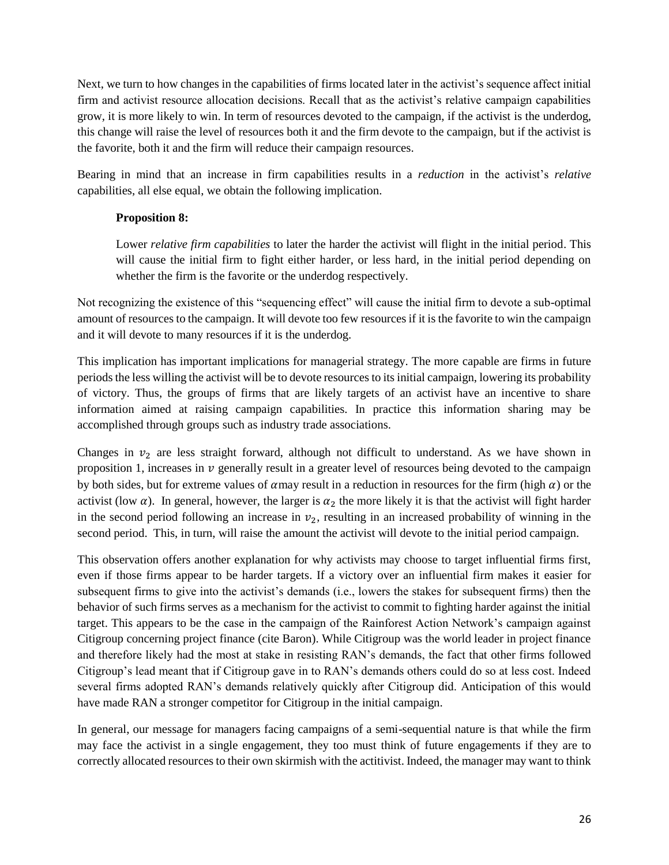Next, we turn to how changes in the capabilities of firms located later in the activist's sequence affect initial firm and activist resource allocation decisions. Recall that as the activist's relative campaign capabilities grow, it is more likely to win. In term of resources devoted to the campaign, if the activist is the underdog, this change will raise the level of resources both it and the firm devote to the campaign, but if the activist is the favorite, both it and the firm will reduce their campaign resources.

Bearing in mind that an increase in firm capabilities results in a *reduction* in the activist's *relative* capabilities, all else equal, we obtain the following implication.

# **Proposition 8:**

Lower *relative firm capabilities* to later the harder the activist will flight in the initial period. This will cause the initial firm to fight either harder, or less hard, in the initial period depending on whether the firm is the favorite or the underdog respectively.

Not recognizing the existence of this "sequencing effect" will cause the initial firm to devote a sub-optimal amount of resources to the campaign. It will devote too few resources if it is the favorite to win the campaign and it will devote to many resources if it is the underdog.

This implication has important implications for managerial strategy. The more capable are firms in future periods the less willing the activist will be to devote resources to its initial campaign, lowering its probability of victory. Thus, the groups of firms that are likely targets of an activist have an incentive to share information aimed at raising campaign capabilities. In practice this information sharing may be accomplished through groups such as industry trade associations.

Changes in  $v_2$  are less straight forward, although not difficult to understand. As we have shown in proposition 1, increases in  $\nu$  generally result in a greater level of resources being devoted to the campaign by both sides, but for extreme values of  $\alpha$  may result in a reduction in resources for the firm (high  $\alpha$ ) or the activist (low  $\alpha$ ). In general, however, the larger is  $\alpha_2$  the more likely it is that the activist will fight harder in the second period following an increase in  $v<sub>2</sub>$ , resulting in an increased probability of winning in the second period. This, in turn, will raise the amount the activist will devote to the initial period campaign.

This observation offers another explanation for why activists may choose to target influential firms first, even if those firms appear to be harder targets. If a victory over an influential firm makes it easier for subsequent firms to give into the activist's demands (i.e., lowers the stakes for subsequent firms) then the behavior of such firms serves as a mechanism for the activist to commit to fighting harder against the initial target. This appears to be the case in the campaign of the Rainforest Action Network's campaign against Citigroup concerning project finance (cite Baron). While Citigroup was the world leader in project finance and therefore likely had the most at stake in resisting RAN's demands, the fact that other firms followed Citigroup's lead meant that if Citigroup gave in to RAN's demands others could do so at less cost. Indeed several firms adopted RAN's demands relatively quickly after Citigroup did. Anticipation of this would have made RAN a stronger competitor for Citigroup in the initial campaign.

In general, our message for managers facing campaigns of a semi-sequential nature is that while the firm may face the activist in a single engagement, they too must think of future engagements if they are to correctly allocated resources to their own skirmish with the actitivist. Indeed, the manager may want to think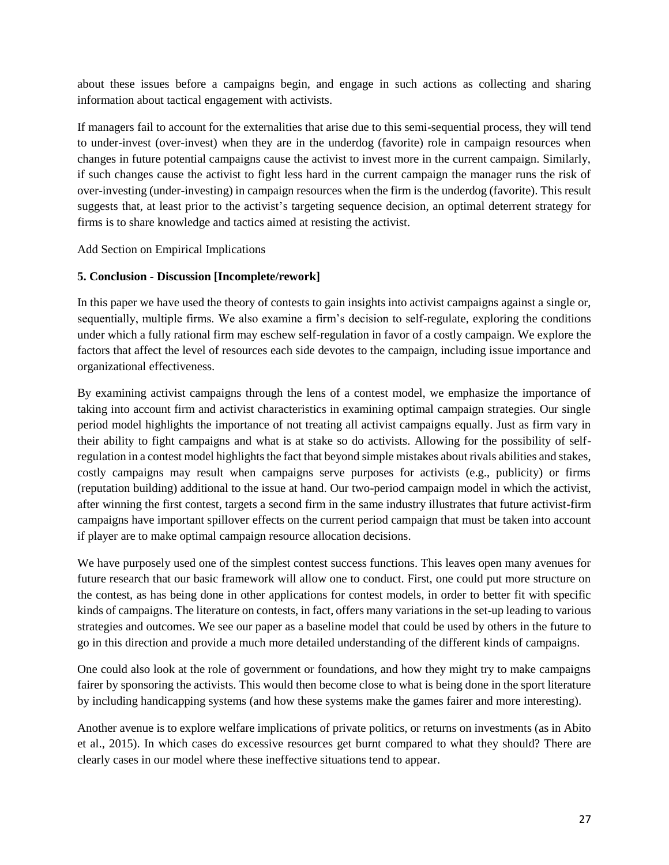about these issues before a campaigns begin, and engage in such actions as collecting and sharing information about tactical engagement with activists.

If managers fail to account for the externalities that arise due to this semi-sequential process, they will tend to under-invest (over-invest) when they are in the underdog (favorite) role in campaign resources when changes in future potential campaigns cause the activist to invest more in the current campaign. Similarly, if such changes cause the activist to fight less hard in the current campaign the manager runs the risk of over-investing (under-investing) in campaign resources when the firm is the underdog (favorite). This result suggests that, at least prior to the activist's targeting sequence decision, an optimal deterrent strategy for firms is to share knowledge and tactics aimed at resisting the activist.

Add Section on Empirical Implications

# **5. Conclusion - Discussion [Incomplete/rework]**

In this paper we have used the theory of contests to gain insights into activist campaigns against a single or, sequentially, multiple firms. We also examine a firm's decision to self-regulate, exploring the conditions under which a fully rational firm may eschew self-regulation in favor of a costly campaign. We explore the factors that affect the level of resources each side devotes to the campaign, including issue importance and organizational effectiveness.

By examining activist campaigns through the lens of a contest model, we emphasize the importance of taking into account firm and activist characteristics in examining optimal campaign strategies. Our single period model highlights the importance of not treating all activist campaigns equally. Just as firm vary in their ability to fight campaigns and what is at stake so do activists. Allowing for the possibility of selfregulation in a contest model highlights the fact that beyond simple mistakes about rivals abilities and stakes, costly campaigns may result when campaigns serve purposes for activists (e.g., publicity) or firms (reputation building) additional to the issue at hand. Our two-period campaign model in which the activist, after winning the first contest, targets a second firm in the same industry illustrates that future activist-firm campaigns have important spillover effects on the current period campaign that must be taken into account if player are to make optimal campaign resource allocation decisions.

We have purposely used one of the simplest contest success functions. This leaves open many avenues for future research that our basic framework will allow one to conduct. First, one could put more structure on the contest, as has being done in other applications for contest models, in order to better fit with specific kinds of campaigns. The literature on contests, in fact, offers many variations in the set-up leading to various strategies and outcomes. We see our paper as a baseline model that could be used by others in the future to go in this direction and provide a much more detailed understanding of the different kinds of campaigns.

One could also look at the role of government or foundations, and how they might try to make campaigns fairer by sponsoring the activists. This would then become close to what is being done in the sport literature by including handicapping systems (and how these systems make the games fairer and more interesting).

Another avenue is to explore welfare implications of private politics, or returns on investments (as in Abito et al., 2015). In which cases do excessive resources get burnt compared to what they should? There are clearly cases in our model where these ineffective situations tend to appear.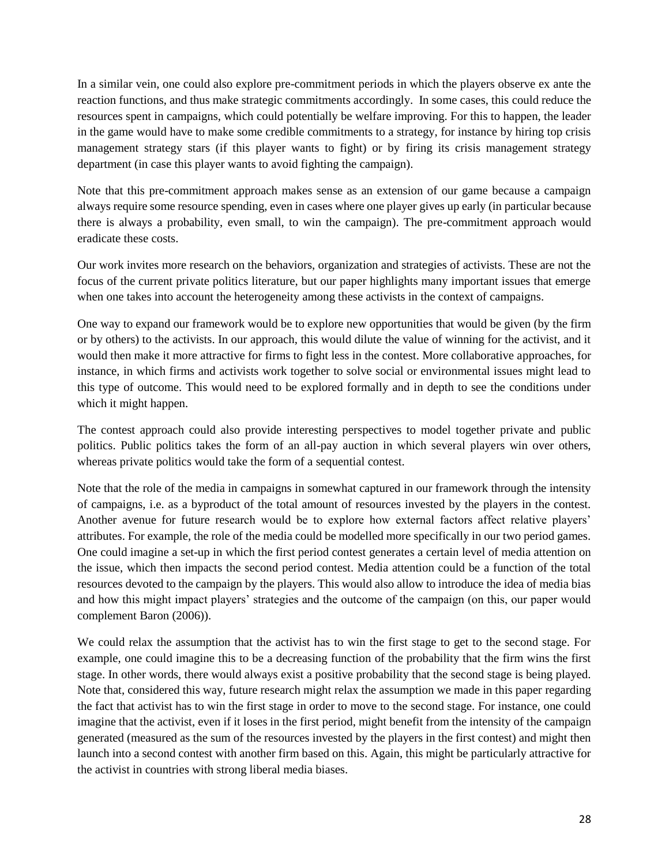In a similar vein, one could also explore pre-commitment periods in which the players observe ex ante the reaction functions, and thus make strategic commitments accordingly. In some cases, this could reduce the resources spent in campaigns, which could potentially be welfare improving. For this to happen, the leader in the game would have to make some credible commitments to a strategy, for instance by hiring top crisis management strategy stars (if this player wants to fight) or by firing its crisis management strategy department (in case this player wants to avoid fighting the campaign).

Note that this pre-commitment approach makes sense as an extension of our game because a campaign always require some resource spending, even in cases where one player gives up early (in particular because there is always a probability, even small, to win the campaign). The pre-commitment approach would eradicate these costs.

Our work invites more research on the behaviors, organization and strategies of activists. These are not the focus of the current private politics literature, but our paper highlights many important issues that emerge when one takes into account the heterogeneity among these activists in the context of campaigns.

One way to expand our framework would be to explore new opportunities that would be given (by the firm or by others) to the activists. In our approach, this would dilute the value of winning for the activist, and it would then make it more attractive for firms to fight less in the contest. More collaborative approaches, for instance, in which firms and activists work together to solve social or environmental issues might lead to this type of outcome. This would need to be explored formally and in depth to see the conditions under which it might happen.

The contest approach could also provide interesting perspectives to model together private and public politics. Public politics takes the form of an all-pay auction in which several players win over others, whereas private politics would take the form of a sequential contest.

Note that the role of the media in campaigns in somewhat captured in our framework through the intensity of campaigns, i.e. as a byproduct of the total amount of resources invested by the players in the contest. Another avenue for future research would be to explore how external factors affect relative players' attributes. For example, the role of the media could be modelled more specifically in our two period games. One could imagine a set-up in which the first period contest generates a certain level of media attention on the issue, which then impacts the second period contest. Media attention could be a function of the total resources devoted to the campaign by the players. This would also allow to introduce the idea of media bias and how this might impact players' strategies and the outcome of the campaign (on this, our paper would complement Baron (2006)).

We could relax the assumption that the activist has to win the first stage to get to the second stage. For example, one could imagine this to be a decreasing function of the probability that the firm wins the first stage. In other words, there would always exist a positive probability that the second stage is being played. Note that, considered this way, future research might relax the assumption we made in this paper regarding the fact that activist has to win the first stage in order to move to the second stage. For instance, one could imagine that the activist, even if it loses in the first period, might benefit from the intensity of the campaign generated (measured as the sum of the resources invested by the players in the first contest) and might then launch into a second contest with another firm based on this. Again, this might be particularly attractive for the activist in countries with strong liberal media biases.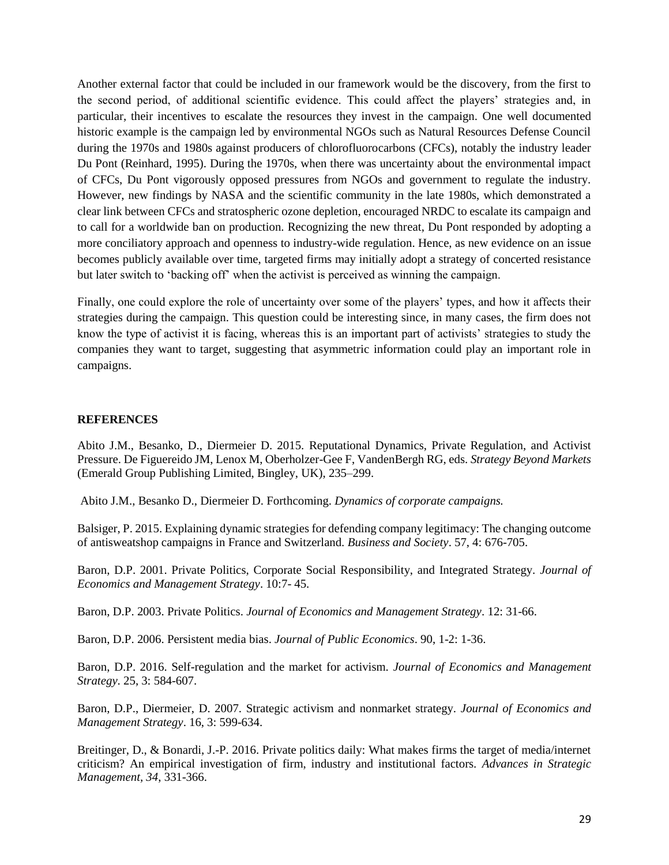Another external factor that could be included in our framework would be the discovery, from the first to the second period, of additional scientific evidence. This could affect the players' strategies and, in particular, their incentives to escalate the resources they invest in the campaign. One well documented historic example is the campaign led by environmental NGOs such as Natural Resources Defense Council during the 1970s and 1980s against producers of chlorofluorocarbons (CFCs), notably the industry leader Du Pont (Reinhard, 1995). During the 1970s, when there was uncertainty about the environmental impact of CFCs, Du Pont vigorously opposed pressures from NGOs and government to regulate the industry. However, new findings by NASA and the scientific community in the late 1980s, which demonstrated a clear link between CFCs and stratospheric ozone depletion, encouraged NRDC to escalate its campaign and to call for a worldwide ban on production. Recognizing the new threat, Du Pont responded by adopting a more conciliatory approach and openness to industry-wide regulation. Hence, as new evidence on an issue becomes publicly available over time, targeted firms may initially adopt a strategy of concerted resistance but later switch to 'backing off' when the activist is perceived as winning the campaign.

Finally, one could explore the role of uncertainty over some of the players' types, and how it affects their strategies during the campaign. This question could be interesting since, in many cases, the firm does not know the type of activist it is facing, whereas this is an important part of activists' strategies to study the companies they want to target, suggesting that asymmetric information could play an important role in campaigns.

### **REFERENCES**

Abito J.M., Besanko, D., Diermeier D. 2015. Reputational Dynamics, Private Regulation, and Activist Pressure. De Figuereido JM, Lenox M, Oberholzer-Gee F, VandenBergh RG, eds. *Strategy Beyond Markets* (Emerald Group Publishing Limited, Bingley, UK), 235–299.

Abito J.M., Besanko D., Diermeier D. Forthcoming. *Dynamics of corporate campaigns.*

Balsiger, P. 2015. Explaining dynamic strategies for defending company legitimacy: The changing outcome of antisweatshop campaigns in France and Switzerland. *Business and Society*. 57, 4: 676-705.

Baron, D.P. 2001. Private Politics, Corporate Social Responsibility, and Integrated Strategy. *Journal of Economics and Management Strategy*. 10:7- 45.

Baron, D.P. 2003. Private Politics. *Journal of Economics and Management Strategy*. 12: 31-66.

Baron, D.P. 2006. Persistent media bias. *Journal of Public Economics*. 90, 1-2: 1-36.

Baron, D.P. 2016. Self-regulation and the market for activism. *Journal of Economics and Management Strategy*. 25, 3: 584-607.

Baron, D.P., Diermeier, D. 2007. Strategic activism and nonmarket strategy. *Journal of Economics and Management Strategy*. 16, 3: 599-634.

Breitinger, D., & Bonardi, J.-P. 2016. Private politics daily: What makes firms the target of media/internet criticism? An empirical investigation of firm, industry and institutional factors. *Advances in Strategic Management, 34*, 331-366.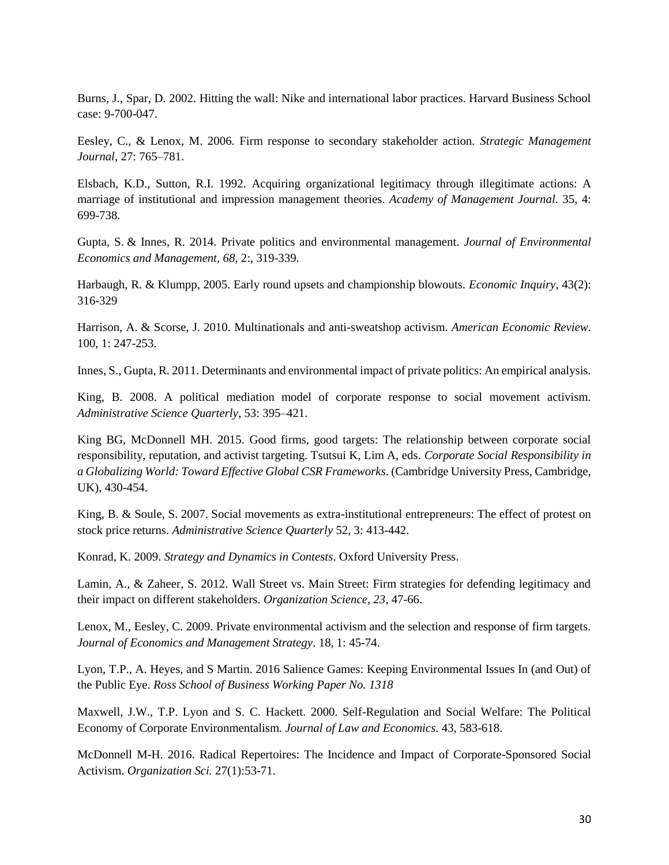Burns, J., Spar, D. 2002. Hitting the wall: Nike and international labor practices. Harvard Business School case: 9-700-047.

Eesley, C., & Lenox, M. 2006. Firm response to secondary stakeholder action. *Strategic Management Journal*, 27: 765–781.

Elsbach, K.D., Sutton, R.I. 1992. Acquiring organizational legitimacy through illegitimate actions: A marriage of institutional and impression management theories. *Academy of Management Journal.* 35, 4: 699-738.

Gupta, S. & Innes, R. 2014. Private politics and environmental management. *Journal of Environmental Economics and Management, 68*, 2:, 319-339.

Harbaugh, R. & Klumpp, 2005. Early round upsets and championship blowouts. *Economic Inquiry*, 43(2): 316-329

Harrison, A. & Scorse, J. 2010. Multinationals and anti-sweatshop activism. *American Economic Review*. 100, 1: 247-253.

Innes, S., Gupta, R. 2011. Determinants and environmental impact of private politics: An empirical analysis.

King, B. 2008. A political mediation model of corporate response to social movement activism. *Administrative Science Quarterly*, 53: 395–421.

King BG, McDonnell MH. 2015. Good firms, good targets: The relationship between corporate social responsibility, reputation, and activist targeting. Tsutsui K, Lim A, eds. *Corporate Social Responsibility in a Globalizing World: Toward Effective Global CSR Frameworks*. (Cambridge University Press, Cambridge, UK), 430-454.

King, B. & Soule, S. 2007. Social movements as extra-institutional entrepreneurs: The effect of protest on stock price returns. *Administrative Science Quarterly* 52, 3: 413-442.

Konrad, K. 2009. *Strategy and Dynamics in Contests*. Oxford University Press.

Lamin, A., & Zaheer, S. 2012. Wall Street vs. Main Street: Firm strategies for defending legitimacy and their impact on different stakeholders. *Organization Science, 23*, 47-66.

Lenox, M., Eesley, C. 2009. Private environmental activism and the selection and response of firm targets. *Journal of Economics and Management Strategy*. 18, 1: 45-74.

Lyon, T.P., A. Heyes, and S Martin. 2016 Salience Games: Keeping Environmental Issues In (and Out) of the Public Eye. *Ross School of Business Working Paper No. 1318*

Maxwell, J.W., T.P. Lyon and S. C. Hackett. 2000. Self-Regulation and Social Welfare: The Political Economy of Corporate Environmentalism. *Journal of Law and Economics*. 43, 583-618.

McDonnell M-H. 2016. Radical Repertoires: The Incidence and Impact of Corporate-Sponsored Social Activism. *Organization Sci.* 27(1):53-71.